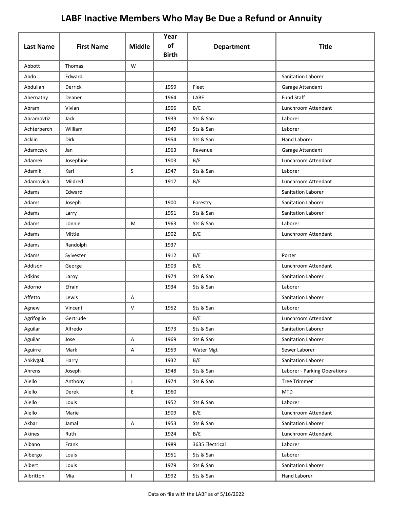| <b>Last Name</b> | <b>First Name</b> | <b>Middle</b> | Year<br>of   |                   | <b>Title</b>                 |
|------------------|-------------------|---------------|--------------|-------------------|------------------------------|
|                  |                   |               | <b>Birth</b> | <b>Department</b> |                              |
| Abbott           | Thomas            | W             |              |                   |                              |
| Abdo             | Edward            |               |              |                   | <b>Sanitation Laborer</b>    |
| Abdullah         | Derrick           |               | 1959         | Fleet             | Garage Attendant             |
| Abernathy        | Deaner            |               | 1964         | LABF              | <b>Fund Staff</b>            |
| Abram            | Vivian            |               | 1906         | B/E               | Lunchroom Attendant          |
| Abramovtiz       | Jack              |               | 1939         | Sts & San         | Laborer                      |
| Achterberch      | William           |               | 1949         | Sts & San         | Laborer                      |
| Acklin           | Dirk              |               | 1954         | Sts & San         | <b>Hand Laborer</b>          |
| Adamczyk         | Jan               |               | 1963         | Revenue           | Garage Attendant             |
| Adamek           | Josephine         |               | 1903         | B/E               | Lunchroom Attendant          |
| Adamik           | Karl              | S             | 1947         | Sts & San         | Laborer                      |
| Adamovich        | Mildred           |               | 1917         | B/E               | Lunchroom Attendant          |
| Adams            | Edward            |               |              |                   | Sanitation Laborer           |
| Adams            | Joseph            |               | 1900         | Forestry          | Sanitation Laborer           |
| Adams            | Larry             |               | 1951         | Sts & San         | <b>Sanitation Laborer</b>    |
| Adams            | Lonnie            | M             | 1963         | Sts & San         | Laborer                      |
| Adams            | Mittie            |               | 1902         | B/E               | Lunchroom Attendant          |
| Adams            | Randolph          |               | 1937         |                   |                              |
| Adams            | Sylvester         |               | 1912         | B/E               | Porter                       |
| Addison          | George            |               | 1903         | B/E               | Lunchroom Attendant          |
| <b>Adkins</b>    | Laroy             |               | 1974         | Sts & San         | Sanitation Laborer           |
| Adorno           | Efrain            |               | 1934         | Sts & San         | Laborer                      |
| Affetto          | Lewis             | А             |              |                   | Sanitation Laborer           |
| Agnew            | Vincent           | V             | 1952         | Sts & San         | Laborer                      |
| Agrifoglio       | Gertrude          |               |              | B/E               | Lunchroom Attendant          |
| Aguilar          | Alfredo           |               | 1973         | Sts & San         | Sanitation Laborer           |
| Aguilar          | Jose              | A             | 1969         | Sts & San         | Sanitation Laborer           |
| Aguirre          | Mark              | Α             | 1959         | Water Mgt         | Sewer Laborer                |
| Ahkivgak         | Harry             |               | 1932         | B/E               | Sanitation Laborer           |
| Ahrens           | Joseph            |               | 1948         | Sts & San         | Laborer - Parking Operations |
| Aiello           | Anthony           | J             | 1974         | Sts & San         | <b>Tree Trimmer</b>          |
| Aiello           | Derek             | E.            | 1960         |                   | <b>MTD</b>                   |
| Aiello           | Louis             |               | 1952         | Sts & San         | Laborer                      |
| Aiello           | Marie             |               | 1909         | B/E               | Lunchroom Attendant          |
| Akbar            | Jamal             | A             | 1953         | Sts & San         | Sanitation Laborer           |
| Akines           | Ruth              |               | 1924         | B/E               | Lunchroom Attendant          |
| Albano           | Frank             |               | 1989         | 3635 Electrical   | Laborer                      |
| Albergo          | Louis             |               | 1951         | Sts & San         | Laborer                      |
| Albert           | Louis             |               | 1979         | Sts & San         | Sanitation Laborer           |
| Albritton        | Mia               | L             | 1992         | Sts & San         | Hand Laborer                 |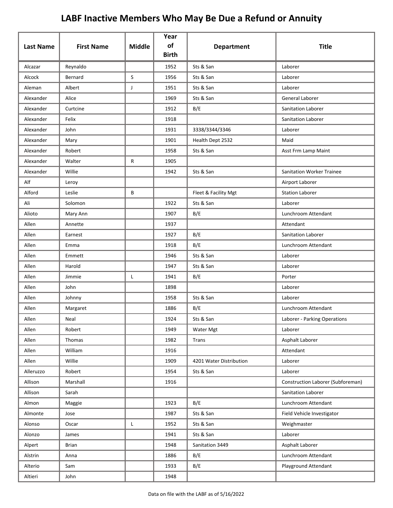| <b>Last Name</b> | <b>First Name</b> | <b>Middle</b> | Year<br>of<br><b>Birth</b> | <b>Department</b>       | <b>Title</b>                      |
|------------------|-------------------|---------------|----------------------------|-------------------------|-----------------------------------|
| Alcazar          | Reynaldo          |               | 1952                       | Sts & San               | Laborer                           |
| Alcock           | Bernard           | S             | 1956                       | Sts & San               | Laborer                           |
| Aleman           | Albert            | J             | 1951                       | Sts & San               | Laborer                           |
| Alexander        | Alice             |               | 1969                       | Sts & San               | General Laborer                   |
| Alexander        | Curtcine          |               | 1912                       | B/E                     | Sanitation Laborer                |
| Alexander        | Felix             |               | 1918                       |                         | Sanitation Laborer                |
| Alexander        | John              |               | 1931                       | 3338/3344/3346          | Laborer                           |
| Alexander        | Mary              |               | 1901                       | Health Dept 2532        | Maid                              |
| Alexander        | Robert            |               | 1958                       | Sts & San               | Asst Frm Lamp Maint               |
| Alexander        | Walter            | R             | 1905                       |                         |                                   |
| Alexander        | Willie            |               | 1942                       | Sts & San               | <b>Sanitation Worker Trainee</b>  |
| Alf              | Leroy             |               |                            |                         | Airport Laborer                   |
| Alford           | Leslie            | B             |                            | Fleet & Facility Mgt    | <b>Station Laborer</b>            |
| Ali              | Solomon           |               | 1922                       | Sts & San               | Laborer                           |
| Alioto           | Mary Ann          |               | 1907                       | B/E                     | Lunchroom Attendant               |
| Allen            | Annette           |               | 1937                       |                         | Attendant                         |
| Allen            | Earnest           |               | 1927                       | B/E                     | Sanitation Laborer                |
| Allen            | Emma              |               | 1918                       | B/E                     | Lunchroom Attendant               |
| Allen            | Emmett            |               | 1946                       | Sts & San               | Laborer                           |
| Allen            | Harold            |               | 1947                       | Sts & San               | Laborer                           |
| Allen            | Jimmie            | L             | 1941                       | B/E                     | Porter                            |
| Allen            | John              |               | 1898                       |                         | Laborer                           |
| Allen            | Johnny            |               | 1958                       | Sts & San               | Laborer                           |
| Allen            | Margaret          |               | 1886                       | B/E                     | Lunchroom Attendant               |
| Allen            | Neal              |               | 1924                       | Sts & San               | Laborer - Parking Operations      |
| Allen            | Robert            |               | 1949                       | Water Mgt               | Laborer                           |
| Allen            | Thomas            |               | 1982                       | Trans                   | Asphalt Laborer                   |
| Allen            | William           |               | 1916                       |                         | Attendant                         |
| Allen            | Willie            |               | 1909                       | 4201 Water Distribution | Laborer                           |
| Alleruzzo        | Robert            |               | 1954                       | Sts & San               | Laborer                           |
| Allison          | Marshall          |               | 1916                       |                         | Construction Laborer (Subforeman) |
| Allison          | Sarah             |               |                            |                         | Sanitation Laborer                |
| Almon            | Maggie            |               | 1923                       | B/E                     | Lunchroom Attendant               |
| Almonte          | Jose              |               | 1987                       | Sts & San               | Field Vehicle Investigator        |
| Alonso           | Oscar             | L             | 1952                       | Sts & San               | Weighmaster                       |
| Alonzo           | James             |               | 1941                       | Sts & San               | Laborer                           |
| Alpert           | <b>Brian</b>      |               | 1948                       | Sanitation 3449         | Asphalt Laborer                   |
| Alstrin          | Anna              |               | 1886                       | B/E                     | Lunchroom Attendant               |
| Alterio          | Sam               |               | 1933                       | B/E                     | Playground Attendant              |
| Altieri          | John              |               | 1948                       |                         |                                   |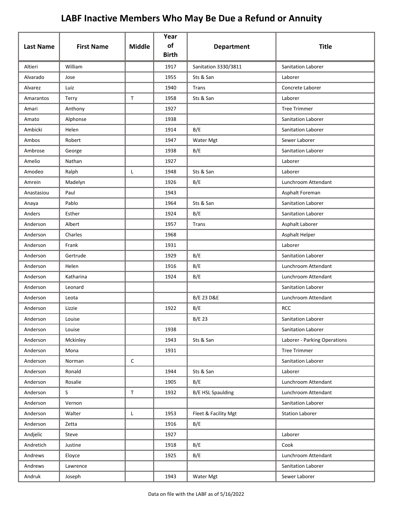| <b>Last Name</b> | <b>First Name</b> | <b>Middle</b> | Year<br>of<br><b>Birth</b> | <b>Department</b>        | <b>Title</b>                 |
|------------------|-------------------|---------------|----------------------------|--------------------------|------------------------------|
| Altieri          | William           |               | 1917                       | Sanitation 3330/3811     | Sanitation Laborer           |
| Alvarado         | Jose              |               | 1955                       | Sts & San                | Laborer                      |
| Alvarez          | Luiz              |               | 1940                       | Trans                    | Concrete Laborer             |
| Amarantos        | Terry             | $\mathsf T$   | 1958                       | Sts & San                | Laborer                      |
| Amari            | Anthony           |               | 1927                       |                          | <b>Tree Trimmer</b>          |
| Amato            | Alphonse          |               | 1938                       |                          | <b>Sanitation Laborer</b>    |
| Ambicki          | Helen             |               | 1914                       | B/E                      | Sanitation Laborer           |
| Ambos            | Robert            |               | 1947                       | Water Mgt                | Sewer Laborer                |
| Ambrose          | George            |               | 1938                       | B/E                      | Sanitation Laborer           |
| Amelio           | Nathan            |               | 1927                       |                          | Laborer                      |
| Amodeo           | Ralph             | Г             | 1948                       | Sts & San                | Laborer                      |
| Amrein           | Madelyn           |               | 1926                       | B/E                      | Lunchroom Attendant          |
| Anastasiou       | Paul              |               | 1943                       |                          | Asphalt Foreman              |
| Anaya            | Pablo             |               | 1964                       | Sts & San                | <b>Sanitation Laborer</b>    |
| Anders           | Esther            |               | 1924                       | B/E                      | Sanitation Laborer           |
| Anderson         | Albert            |               | 1957                       | Trans                    | Asphalt Laborer              |
| Anderson         | Charles           |               | 1968                       |                          | Asphalt Helper               |
| Anderson         | Frank             |               | 1931                       |                          | Laborer                      |
| Anderson         | Gertrude          |               | 1929                       | B/E                      | Sanitation Laborer           |
| Anderson         | Helen             |               | 1916                       | B/E                      | Lunchroom Attendant          |
| Anderson         | Katharina         |               | 1924                       | B/E                      | Lunchroom Attendant          |
| Anderson         | Leonard           |               |                            |                          | Sanitation Laborer           |
| Anderson         | Leota             |               |                            | <b>B/E 23 D&amp;E</b>    | Lunchroom Attendant          |
| Anderson         | Lizzie            |               | 1922                       | B/E                      | <b>RCC</b>                   |
| Anderson         | Louise            |               |                            | B/E 23                   | Sanitation Laborer           |
| Anderson         | Louise            |               | 1938                       |                          | Sanitation Laborer           |
| Anderson         | Mckinley          |               | 1943                       | Sts & San                | Laborer - Parking Operations |
| Anderson         | Mona              |               | 1931                       |                          | <b>Tree Trimmer</b>          |
| Anderson         | Norman            | $\mathsf{C}$  |                            |                          | Sanitation Laborer           |
| Anderson         | Ronald            |               | 1944                       | Sts & San                | Laborer                      |
| Anderson         | Rosalie           |               | 1905                       | B/E                      | Lunchroom Attendant          |
| Anderson         | S                 | $\mathsf T$   | 1932                       | <b>B/E HSL Spaulding</b> | Lunchroom Attendant          |
| Anderson         | Vernon            |               |                            |                          | Sanitation Laborer           |
| Anderson         | Walter            | L             | 1953                       | Fleet & Facility Mgt     | <b>Station Laborer</b>       |
| Anderson         | Zetta             |               | 1916                       | B/E                      |                              |
| Andjelic         | Steve             |               | 1927                       |                          | Laborer                      |
| Andretich        | Justine           |               | 1918                       | B/E                      | Cook                         |
| Andrews          | Eloyce            |               | 1925                       | B/E                      | Lunchroom Attendant          |
| Andrews          | Lawrence          |               |                            |                          | Sanitation Laborer           |
| Andruk           | Joseph            |               | 1943                       | Water Mgt                | Sewer Laborer                |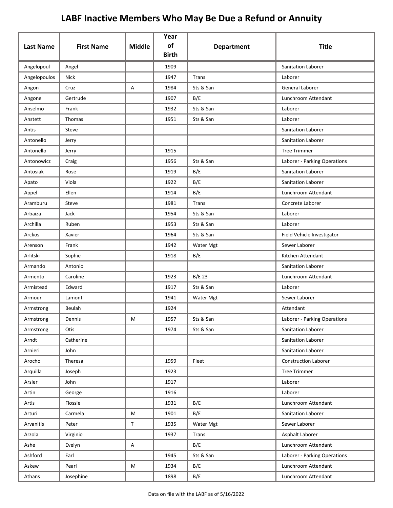| <b>Last Name</b> | <b>First Name</b> | <b>Middle</b> | Year<br>of   | <b>Department</b> | <b>Title</b>                 |
|------------------|-------------------|---------------|--------------|-------------------|------------------------------|
|                  |                   |               | <b>Birth</b> |                   |                              |
| Angelopoul       | Angel             |               | 1909         |                   | Sanitation Laborer           |
| Angelopoulos     | <b>Nick</b>       |               | 1947         | <b>Trans</b>      | Laborer                      |
| Angon            | Cruz              | Α             | 1984         | Sts & San         | General Laborer              |
| Angone           | Gertrude          |               | 1907         | B/E               | Lunchroom Attendant          |
| Anselmo          | Frank             |               | 1932         | Sts & San         | Laborer                      |
| Anstett          | Thomas            |               | 1951         | Sts & San         | Laborer                      |
| Antis            | Steve             |               |              |                   | Sanitation Laborer           |
| Antonello        | Jerry             |               |              |                   | Sanitation Laborer           |
| Antonello        | Jerry             |               | 1915         |                   | <b>Tree Trimmer</b>          |
| Antonowicz       | Craig             |               | 1956         | Sts & San         | Laborer - Parking Operations |
| Antosiak         | Rose              |               | 1919         | B/E               | Sanitation Laborer           |
| Apato            | Viola             |               | 1922         | B/E               | Sanitation Laborer           |
| Appel            | Ellen             |               | 1914         | B/E               | Lunchroom Attendant          |
| Aramburu         | Steve             |               | 1981         | Trans             | Concrete Laborer             |
| Arbaiza          | Jack              |               | 1954         | Sts & San         | Laborer                      |
| Archilla         | Ruben             |               | 1953         | Sts & San         | Laborer                      |
| Arckos           | Xavier            |               | 1964         | Sts & San         | Field Vehicle Investigator   |
| Arenson          | Frank             |               | 1942         | Water Mgt         | Sewer Laborer                |
| Arlitski         | Sophie            |               | 1918         | B/E               | Kitchen Attendant            |
| Armando          | Antonio           |               |              |                   | Sanitation Laborer           |
| Armento          | Caroline          |               | 1923         | B/E 23            | Lunchroom Attendant          |
| Armistead        | Edward            |               | 1917         | Sts & San         | Laborer                      |
| Armour           | Lamont            |               | 1941         | Water Mgt         | Sewer Laborer                |
| Armstrong        | Beulah            |               | 1924         |                   | Attendant                    |
| Armstrong        | Dennis            | М             | 1957         | Sts & San         | Laborer - Parking Operations |
| Armstrong        | Otis              |               | 1974         | Sts & San         | Sanitation Laborer           |
| Arndt            | Catherine         |               |              |                   | Sanitation Laborer           |
| Arnieri          | John              |               |              |                   | Sanitation Laborer           |
| Arocho           | Theresa           |               | 1959         | Fleet             | <b>Construction Laborer</b>  |
| Arquilla         | Joseph            |               | 1923         |                   | <b>Tree Trimmer</b>          |
| Arsier           | John              |               | 1917         |                   | Laborer                      |
| Artin            | George            |               | 1916         |                   | Laborer                      |
| Artis            | Flossie           |               | 1931         | B/E               | Lunchroom Attendant          |
| Arturi           | Carmela           | M             | 1901         | B/E               | Sanitation Laborer           |
| Arvanitis        | Peter             | $\mathsf T$   | 1935         | Water Mgt         | Sewer Laborer                |
| Arzola           | Virginio          |               | 1937         | Trans             | Asphalt Laborer              |
| Ashe             | Evelyn            | A             |              | B/E               | Lunchroom Attendant          |
| Ashford          | Earl              |               | 1945         | Sts & San         | Laborer - Parking Operations |
| Askew            | Pearl             | M             | 1934         | B/E               | Lunchroom Attendant          |
| Athans           | Josephine         |               | 1898         | B/E               | Lunchroom Attendant          |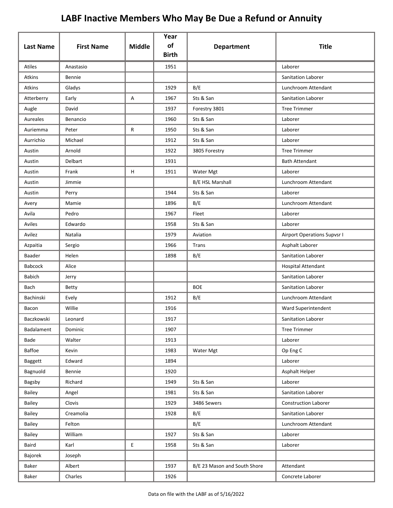| <b>Last Name</b> | <b>First Name</b> | <b>Middle</b> | Year<br>of<br><b>Birth</b> | <b>Department</b>            | <b>Title</b>                |
|------------------|-------------------|---------------|----------------------------|------------------------------|-----------------------------|
| Atiles           | Anastasio         |               | 1951                       |                              | Laborer                     |
| Atkins           | Bennie            |               |                            |                              | Sanitation Laborer          |
| Atkins           | Gladys            |               | 1929                       | B/E                          | Lunchroom Attendant         |
| Atterberry       | Early             | Α             | 1967                       | Sts & San                    | Sanitation Laborer          |
| Augle            | David             |               | 1937                       | Forestry 3801                | <b>Tree Trimmer</b>         |
| Aureales         | Benancio          |               | 1960                       | Sts & San                    | Laborer                     |
| Auriemma         | Peter             | R             | 1950                       | Sts & San                    | Laborer                     |
| Aurrichio        | Michael           |               | 1912                       | Sts & San                    | Laborer                     |
| Austin           | Arnold            |               | 1922                       | 3805 Forestry                | <b>Tree Trimmer</b>         |
| Austin           | Delbart           |               | 1931                       |                              | <b>Bath Attendant</b>       |
| Austin           | Frank             | H             | 1911                       | Water Mgt                    | Laborer                     |
| Austin           | Jimmie            |               |                            | <b>B/E HSL Marshall</b>      | Lunchroom Attendant         |
| Austin           | Perry             |               | 1944                       | Sts & San                    | Laborer                     |
| Avery            | Mamie             |               | 1896                       | B/E                          | Lunchroom Attendant         |
| Avila            | Pedro             |               | 1967                       | Fleet                        | Laborer                     |
| Aviles           | Edwardo           |               | 1958                       | Sts & San                    | Laborer                     |
| Avilez           | Natalia           |               | 1979                       | Aviation                     | Airport Operations Supvsr I |
| Azpaitia         | Sergio            |               | 1966                       | Trans                        | Asphalt Laborer             |
| Baader           | Helen             |               | 1898                       | B/E                          | Sanitation Laborer          |
| <b>Babcock</b>   | Alice             |               |                            |                              | Hospital Attendant          |
| <b>Babich</b>    | Jerry             |               |                            |                              | Sanitation Laborer          |
| Bach             | <b>Betty</b>      |               |                            | <b>BOE</b>                   | Sanitation Laborer          |
| Bachinski        | Evely             |               | 1912                       | B/E                          | Lunchroom Attendant         |
| Bacon            | Willie            |               | 1916                       |                              | Ward Superintendent         |
| Baczkowski       | Leonard           |               | 1917                       |                              | Sanitation Laborer          |
| Badalament       | Dominic           |               | 1907                       |                              | <b>Tree Trimmer</b>         |
| Bade             | Walter            |               | 1913                       |                              | Laborer                     |
| Baffoe           | Kevin             |               | 1983                       | Water Mgt                    | Op Eng C                    |
| <b>Baggett</b>   | Edward            |               | 1894                       |                              | Laborer                     |
| Bagnuold         | Bennie            |               | 1920                       |                              | Asphalt Helper              |
| Bagsby           | Richard           |               | 1949                       | Sts & San                    | Laborer                     |
| Bailey           | Angel             |               | 1981                       | Sts & San                    | Sanitation Laborer          |
| Bailey           | Clovis            |               | 1929                       | 3486 Sewers                  | <b>Construction Laborer</b> |
| Bailey           | Creamolia         |               | 1928                       | B/E                          | Sanitation Laborer          |
| Bailey           | Felton            |               |                            | B/E                          | Lunchroom Attendant         |
| Bailey           | William           |               | 1927                       | Sts & San                    | Laborer                     |
| Baird            | Karl              | E.            | 1958                       | Sts & San                    | Laborer                     |
| Bajorek          | Joseph            |               |                            |                              |                             |
| Baker            | Albert            |               | 1937                       | B/E 23 Mason and South Shore | Attendant                   |
| Baker            | Charles           |               | 1926                       |                              | Concrete Laborer            |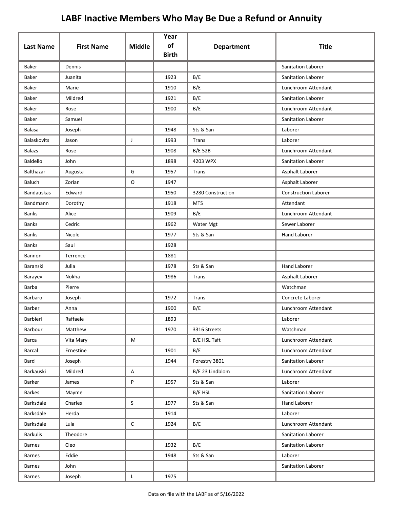| <b>Last Name</b>  | <b>First Name</b> | <b>Middle</b> | Year<br>of<br><b>Birth</b> | <b>Department</b> | <b>Title</b>                |
|-------------------|-------------------|---------------|----------------------------|-------------------|-----------------------------|
| Baker             | Dennis            |               |                            |                   | <b>Sanitation Laborer</b>   |
| Baker             | Juanita           |               | 1923                       | B/E               | Sanitation Laborer          |
| Baker             | Marie             |               | 1910                       | B/E               | Lunchroom Attendant         |
| Baker             | Mildred           |               | 1921                       | B/E               | <b>Sanitation Laborer</b>   |
| Baker             | Rose              |               | 1900                       | B/E               | Lunchroom Attendant         |
| Baker             | Samuel            |               |                            |                   | <b>Sanitation Laborer</b>   |
| Balasa            | Joseph            |               | 1948                       | Sts & San         | Laborer                     |
| Balaskovits       | Jason             | J             | 1993                       | Trans             | Laborer                     |
| <b>Balazs</b>     | Rose              |               | 1908                       | <b>B/E 52B</b>    | Lunchroom Attendant         |
| Baldello          | John              |               | 1898                       | 4203 WPX          | Sanitation Laborer          |
| Balthazar         | Augusta           | G             | 1957                       | Trans             | Asphalt Laborer             |
| Baluch            | Zorian            | O             | 1947                       |                   | Asphalt Laborer             |
| <b>Bandauskas</b> | Edward            |               | 1950                       | 3280 Construction | <b>Construction Laborer</b> |
| Bandmann          | Dorothy           |               | 1918                       | <b>MTS</b>        | Attendant                   |
| <b>Banks</b>      | Alice             |               | 1909                       | B/E               | Lunchroom Attendant         |
| <b>Banks</b>      | Cedric            |               | 1962                       | Water Mgt         | Sewer Laborer               |
| <b>Banks</b>      | Nicole            |               | 1977                       | Sts & San         | <b>Hand Laborer</b>         |
| <b>Banks</b>      | Saul              |               | 1928                       |                   |                             |
| Bannon            | Terrence          |               | 1881                       |                   |                             |
| Baranski          | Julia             |               | 1978                       | Sts & San         | <b>Hand Laborer</b>         |
| Barayev           | Nokha             |               | 1986                       | Trans             | Asphalt Laborer             |
| Barba             | Pierre            |               |                            |                   | Watchman                    |
| Barbaro           | Joseph            |               | 1972                       | Trans             | Concrete Laborer            |
| Barber            | Anna              |               | 1900                       | B/E               | Lunchroom Attendant         |
| Barbieri          | Raffaele          |               | 1893                       |                   | Laborer                     |
| Barbour           | Matthew           |               | 1970                       | 3316 Streets      | Watchman                    |
| Barca             | Vita Mary         | M             |                            | B/E HSL Taft      | Lunchroom Attendant         |
| Barcal            | Ernestine         |               | 1901                       | B/E               | Lunchroom Attendant         |
| Bard              | Joseph            |               | 1944                       | Forestry 3801     | Sanitation Laborer          |
| Barkauski         | Mildred           | Α             |                            | B/E 23 Lindblom   | Lunchroom Attendant         |
| Barker            | James             | P             | 1957                       | Sts & San         | Laborer                     |
| <b>Barkes</b>     | Mayme             |               |                            | B/E HSL           | Sanitation Laborer          |
| Barksdale         | Charles           | S             | 1977                       | Sts & San         | <b>Hand Laborer</b>         |
| Barksdale         | Herda             |               | 1914                       |                   | Laborer                     |
| Barksdale         | Lula              | C             | 1924                       | B/E               | Lunchroom Attendant         |
| <b>Barkulis</b>   | Theodore          |               |                            |                   | Sanitation Laborer          |
| <b>Barnes</b>     | Cleo              |               | 1932                       | B/E               | Sanitation Laborer          |
| <b>Barnes</b>     | Eddie             |               | 1948                       | Sts & San         | Laborer                     |
| Barnes            | John              |               |                            |                   | Sanitation Laborer          |
| <b>Barnes</b>     | Joseph            | L             | 1975                       |                   |                             |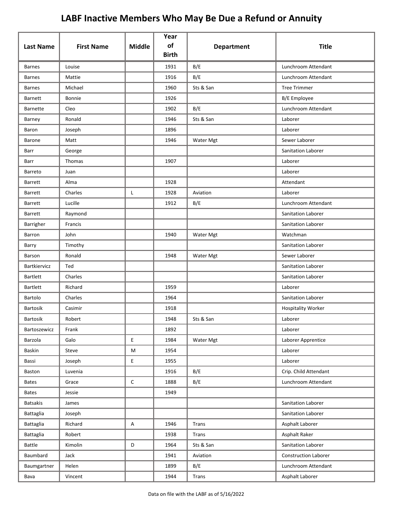|                  |                   |               | Year<br>of   |                   |                             |
|------------------|-------------------|---------------|--------------|-------------------|-----------------------------|
| <b>Last Name</b> | <b>First Name</b> | <b>Middle</b> | <b>Birth</b> | <b>Department</b> | <b>Title</b>                |
| <b>Barnes</b>    | Louise            |               | 1931         | B/E               | Lunchroom Attendant         |
| <b>Barnes</b>    | Mattie            |               | 1916         | B/E               | Lunchroom Attendant         |
| <b>Barnes</b>    | Michael           |               | 1960         | Sts & San         | <b>Tree Trimmer</b>         |
| <b>Barnett</b>   | Bonnie            |               | 1926         |                   | B/E Employee                |
| Barnette         | Cleo              |               | 1902         | B/E               | Lunchroom Attendant         |
| Barney           | Ronald            |               | 1946         | Sts & San         | Laborer                     |
| Baron            | Joseph            |               | 1896         |                   | Laborer                     |
| Barone           | Matt              |               | 1946         | Water Mgt         | Sewer Laborer               |
| Barr             | George            |               |              |                   | Sanitation Laborer          |
| Barr             | Thomas            |               | 1907         |                   | Laborer                     |
| Barreto          | Juan              |               |              |                   | Laborer                     |
| <b>Barrett</b>   | Alma              |               | 1928         |                   | Attendant                   |
| <b>Barrett</b>   | Charles           | L             | 1928         | Aviation          | Laborer                     |
| <b>Barrett</b>   | Lucille           |               | 1912         | B/E               | Lunchroom Attendant         |
| <b>Barrett</b>   | Raymond           |               |              |                   | Sanitation Laborer          |
| Barrigher        | Francis           |               |              |                   | Sanitation Laborer          |
| Barron           | John              |               | 1940         | Water Mgt         | Watchman                    |
| Barry            | Timothy           |               |              |                   | Sanitation Laborer          |
| Barson           | Ronald            |               | 1948         | Water Mgt         | Sewer Laborer               |
| Bartkiervicz     | Ted               |               |              |                   | Sanitation Laborer          |
| <b>Bartlett</b>  | Charles           |               |              |                   | Sanitation Laborer          |
| <b>Bartlett</b>  | Richard           |               | 1959         |                   | Laborer                     |
| Bartolo          | Charles           |               | 1964         |                   | Sanitation Laborer          |
| <b>Bartosik</b>  | Casimir           |               | 1918         |                   | <b>Hospitality Worker</b>   |
| Bartosik         | Robert            |               | 1948         | Sts & San         | Laborer                     |
| Bartoszewicz     | Frank             |               | 1892         |                   | Laborer                     |
| Barzola          | Galo              | E             | 1984         | Water Mgt         | Laborer Apprentice          |
| Baskin           | Steve             | M             | 1954         |                   | Laborer                     |
| Bassi            | Joseph            | E             | 1955         |                   | Laborer                     |
| Baston           | Luvenia           |               | 1916         | B/E               | Crip. Child Attendant       |
| <b>Bates</b>     | Grace             | $\mathsf C$   | 1888         | B/E               | Lunchroom Attendant         |
| <b>Bates</b>     | Jessie            |               | 1949         |                   |                             |
| <b>Batsakis</b>  | James             |               |              |                   | Sanitation Laborer          |
| Battaglia        | Joseph            |               |              |                   | Sanitation Laborer          |
| Battaglia        | Richard           | A             | 1946         | <b>Trans</b>      | Asphalt Laborer             |
| Battaglia        | Robert            |               | 1938         | Trans             | Asphalt Raker               |
| Battle           | Kimolin           | D             | 1964         | Sts & San         | Sanitation Laborer          |
| Baumbard         | Jack              |               | 1941         | Aviation          | <b>Construction Laborer</b> |
| Baumgartner      | Helen             |               | 1899         | B/E               | Lunchroom Attendant         |
| Bava             | Vincent           |               | 1944         | Trans             | Asphalt Laborer             |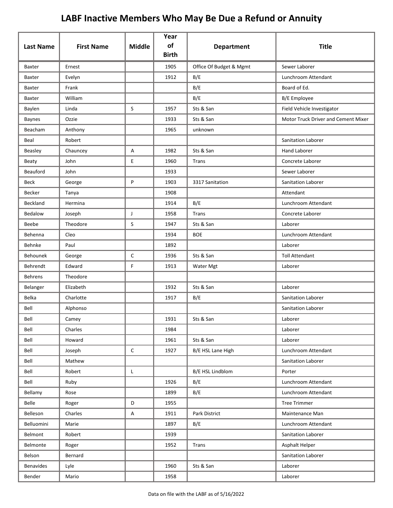|                  |                   |               | Year<br>of   |                         |                                     |
|------------------|-------------------|---------------|--------------|-------------------------|-------------------------------------|
| <b>Last Name</b> | <b>First Name</b> | <b>Middle</b> | <b>Birth</b> | <b>Department</b>       | <b>Title</b>                        |
| Baxter           | Ernest            |               | 1905         | Office Of Budget & Mgmt | Sewer Laborer                       |
| Baxter           | Evelyn            |               | 1912         | B/E                     | Lunchroom Attendant                 |
| Baxter           | Frank             |               |              | B/E                     | Board of Ed.                        |
| Baxter           | William           |               |              | B/E                     | B/E Employee                        |
| Baylen           | Linda             | S             | 1957         | Sts & San               | Field Vehicle Investigator          |
| <b>Baynes</b>    | Ozzie             |               | 1933         | Sts & San               | Motor Truck Driver and Cement Mixer |
| Beacham          | Anthony           |               | 1965         | unknown                 |                                     |
| Beal             | Robert            |               |              |                         | <b>Sanitation Laborer</b>           |
| Beasley          | Chauncey          | Α             | 1982         | Sts & San               | <b>Hand Laborer</b>                 |
| Beaty            | John              | E             | 1960         | Trans                   | Concrete Laborer                    |
| Beauford         | John              |               | 1933         |                         | Sewer Laborer                       |
| <b>Beck</b>      | George            | P             | 1903         | 3317 Sanitation         | Sanitation Laborer                  |
| Becker           | Tanya             |               | 1908         |                         | Attendant                           |
| Beckland         | Hermina           |               | 1914         | B/E                     | Lunchroom Attendant                 |
| Bedalow          | Joseph            | J             | 1958         | Trans                   | Concrete Laborer                    |
| Beebe            | Theodore          | S             | 1947         | Sts & San               | Laborer                             |
| Behenna          | Cleo              |               | 1934         | <b>BOE</b>              | Lunchroom Attendant                 |
| Behnke           | Paul              |               | 1892         |                         | Laborer                             |
| <b>Behounek</b>  | George            | $\mathsf{C}$  | 1936         | Sts & San               | <b>Toll Attendant</b>               |
| Behrendt         | Edward            | F             | 1913         | Water Mgt               | Laborer                             |
| <b>Behrens</b>   | Theodore          |               |              |                         |                                     |
| Belanger         | Elizabeth         |               | 1932         | Sts & San               | Laborer                             |
| Belka            | Charlotte         |               | 1917         | B/E                     | <b>Sanitation Laborer</b>           |
| Bell             | Alphonso          |               |              |                         | Sanitation Laborer                  |
| Bell             | Camey             |               | 1931         | Sts & San               | Laborer                             |
| Bell             | Charles           |               | 1984         |                         | Laborer                             |
| Bell             | Howard            |               | 1961         | Sts & San               | Laborer                             |
| Bell             | Joseph            | C             | 1927         | B/E HSL Lane High       | Lunchroom Attendant                 |
| Bell             | Mathew            |               |              |                         | Sanitation Laborer                  |
| Bell             | Robert            | L             |              | B/E HSL Lindblom        | Porter                              |
| Bell             | Ruby              |               | 1926         | B/E                     | Lunchroom Attendant                 |
| Bellamy          | Rose              |               | 1899         | B/E                     | Lunchroom Attendant                 |
| Belle            | Roger             | D             | 1955         |                         | <b>Tree Trimmer</b>                 |
| Belleson         | Charles           | Α             | 1911         | Park District           | Maintenance Man                     |
| Belluomini       | Marie             |               | 1897         | B/E                     | Lunchroom Attendant                 |
| Belmont          | Robert            |               | 1939         |                         | Sanitation Laborer                  |
| Belmonte         | Roger             |               | 1952         | Trans                   | Asphalt Helper                      |
| Belson           | Bernard           |               |              |                         | Sanitation Laborer                  |
| Benavides        | Lyle              |               | 1960         | Sts & San               | Laborer                             |
| Bender           | Mario             |               | 1958         |                         | Laborer                             |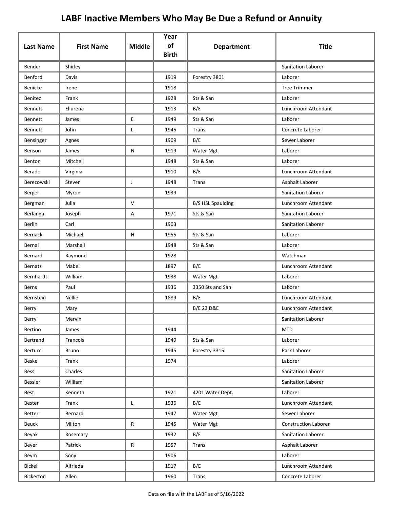|                  |                   |               | Year<br>of   |                          |                             |
|------------------|-------------------|---------------|--------------|--------------------------|-----------------------------|
| <b>Last Name</b> | <b>First Name</b> | <b>Middle</b> | <b>Birth</b> | <b>Department</b>        | <b>Title</b>                |
| Bender           | Shirley           |               |              |                          | <b>Sanitation Laborer</b>   |
| Benford          | Davis             |               | 1919         | Forestry 3801            | Laborer                     |
| Benicke          | Irene             |               | 1918         |                          | <b>Tree Trimmer</b>         |
| Benitez          | Frank             |               | 1928         | Sts & San                | Laborer                     |
| Bennett          | Ellurena          |               | 1913         | B/E                      | Lunchroom Attendant         |
| Bennett          | James             | E             | 1949         | Sts & San                | Laborer                     |
| Bennett          | John              | Г             | 1945         | Trans                    | Concrete Laborer            |
| Bensinger        | Agnes             |               | 1909         | B/E                      | Sewer Laborer               |
| Benson           | James             | N             | 1919         | Water Mgt                | Laborer                     |
| Benton           | Mitchell          |               | 1948         | Sts & San                | Laborer                     |
| Berado           | Virginia          |               | 1910         | B/E                      | Lunchroom Attendant         |
| Berezowski       | Steven            | J             | 1948         | Trans                    | Asphalt Laborer             |
| Berger           | Myron             |               | 1939         |                          | <b>Sanitation Laborer</b>   |
| Bergman          | Julia             | $\vee$        |              | <b>B/S HSL Spaulding</b> | Lunchroom Attendant         |
| Berlanga         | Joseph            | Α             | 1971         | Sts & San                | Sanitation Laborer          |
| Berlin           | Carl              |               | 1903         |                          | Sanitation Laborer          |
| Bernacki         | Michael           | H             | 1955         | Sts & San                | Laborer                     |
| Bernal           | Marshall          |               | 1948         | Sts & San                | Laborer                     |
| Bernard          | Raymond           |               | 1928         |                          | Watchman                    |
| Bernatz          | Mabel             |               | 1897         | B/E                      | Lunchroom Attendant         |
| Bernhardt        | William           |               | 1938         | Water Mgt                | Laborer                     |
| Berns            | Paul              |               | 1936         | 3350 Sts and San         | Laborer                     |
| Bernstein        | Nellie            |               | 1889         | B/E                      | Lunchroom Attendant         |
| Berry            | Mary              |               |              | <b>B/E 23 D&amp;E</b>    | Lunchroom Attendant         |
| Berry            | Mervin            |               |              |                          | Sanitation Laborer          |
| Bertino          | James             |               | 1944         |                          | <b>MTD</b>                  |
| Bertrand         | Francois          |               | 1949         | Sts & San                | Laborer                     |
| Bertucci         | Bruno             |               | 1945         | Forestry 3315            | Park Laborer                |
| Beske            | Frank             |               | 1974         |                          | Laborer                     |
| Bess             | Charles           |               |              |                          | Sanitation Laborer          |
| Bessler          | William           |               |              |                          | Sanitation Laborer          |
| Best             | Kenneth           |               | 1921         | 4201 Water Dept.         | Laborer                     |
| Bester           | Frank             | L             | 1936         | B/E                      | Lunchroom Attendant         |
| Better           | Bernard           |               | 1947         | Water Mgt                | Sewer Laborer               |
| Beuck            | Milton            | R             | 1945         | Water Mgt                | <b>Construction Laborer</b> |
| Beyak            | Rosemary          |               | 1932         | B/E                      | Sanitation Laborer          |
| Beyer            | Patrick           | R             | 1957         | Trans                    | Asphalt Laborer             |
| Beym             | Sony              |               | 1906         |                          | Laborer                     |
| Bickel           | Alfrieda          |               | 1917         | B/E                      | Lunchroom Attendant         |
| Bickerton        | Allen             |               | 1960         | <b>Trans</b>             | Concrete Laborer            |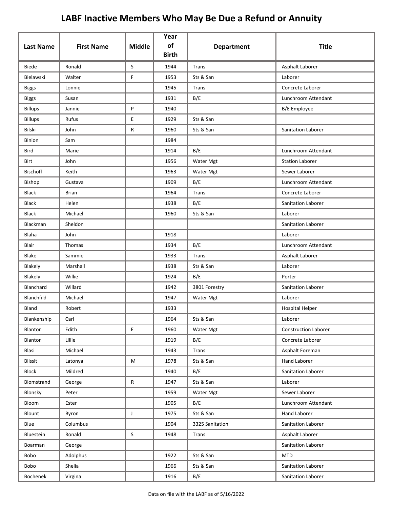| <b>Last Name</b> | <b>First Name</b> | <b>Middle</b>                              | Year<br>of<br><b>Birth</b> | <b>Department</b> | <b>Title</b>                |
|------------------|-------------------|--------------------------------------------|----------------------------|-------------------|-----------------------------|
| <b>Biede</b>     | Ronald            | S                                          | 1944                       | <b>Trans</b>      | Asphalt Laborer             |
| Bielawski        | Walter            | $\mathsf F$                                | 1953                       | Sts & San         | Laborer                     |
| <b>Biggs</b>     | Lonnie            |                                            | 1945                       | Trans             | Concrete Laborer            |
| <b>Biggs</b>     | Susan             |                                            | 1931                       | B/E               | Lunchroom Attendant         |
| <b>Billups</b>   | Jannie            | P                                          | 1940                       |                   | <b>B/E</b> Employee         |
| <b>Billups</b>   | Rufus             | E                                          | 1929                       | Sts & San         |                             |
| Bilski           | John              | R                                          | 1960                       | Sts & San         | Sanitation Laborer          |
| Binion           | Sam               |                                            | 1984                       |                   |                             |
| Bird             | Marie             |                                            | 1914                       | B/E               | Lunchroom Attendant         |
| Birt             | John              |                                            | 1956                       | Water Mgt         | <b>Station Laborer</b>      |
| <b>Bischoff</b>  | Keith             |                                            | 1963                       | Water Mgt         | Sewer Laborer               |
| Bishop           | Gustava           |                                            | 1909                       | B/E               | Lunchroom Attendant         |
| <b>Black</b>     | <b>Brian</b>      |                                            | 1964                       | Trans             | Concrete Laborer            |
| <b>Black</b>     | Helen             |                                            | 1938                       | B/E               | Sanitation Laborer          |
| <b>Black</b>     | Michael           |                                            | 1960                       | Sts & San         | Laborer                     |
| Blackman         | Sheldon           |                                            |                            |                   | Sanitation Laborer          |
| Blaha            | John              |                                            | 1918                       |                   | Laborer                     |
| Blair            | Thomas            |                                            | 1934                       | B/E               | Lunchroom Attendant         |
| Blake            | Sammie            |                                            | 1933                       | Trans             | Asphalt Laborer             |
| Blakely          | Marshall          |                                            | 1938                       | Sts & San         | Laborer                     |
| Blakely          | Willie            |                                            | 1924                       | B/E               | Porter                      |
| Blanchard        | Willard           |                                            | 1942                       | 3801 Forestry     | Sanitation Laborer          |
| Blanchfild       | Michael           |                                            | 1947                       | Water Mgt         | Laborer                     |
| Bland            | Robert            |                                            | 1933                       |                   | <b>Hospital Helper</b>      |
| Blankenship      | Carl              |                                            | 1964                       | Sts & San         | Laborer                     |
| Blanton          | Edith             | $\mathsf{E}% _{0}\left( \mathsf{E}\right)$ | 1960                       | Water Mgt         | <b>Construction Laborer</b> |
| <b>Blanton</b>   | Lillie            |                                            | 1919                       | B/E               | Concrete Laborer            |
| Blasi            | Michael           |                                            | 1943                       | Trans             | Asphalt Foreman             |
| Blissit          | Latonya           | M                                          | 1978                       | Sts & San         | Hand Laborer                |
| Block            | Mildred           |                                            | 1940                       | B/E               | Sanitation Laborer          |
| Blomstrand       | George            | $\mathsf{R}$                               | 1947                       | Sts & San         | Laborer                     |
| Blonsky          | Peter             |                                            | 1959                       | Water Mgt         | Sewer Laborer               |
| Bloom            | Ester             |                                            | 1905                       | B/E               | Lunchroom Attendant         |
| Blount           | Byron             | J                                          | 1975                       | Sts & San         | Hand Laborer                |
| Blue             | Columbus          |                                            | 1904                       | 3325 Sanitation   | Sanitation Laborer          |
| Bluestein        | Ronald            | $\mathsf S$                                | 1948                       | Trans             | Asphalt Laborer             |
| Boarman          | George            |                                            |                            |                   | Sanitation Laborer          |
| Bobo             | Adolphus          |                                            | 1922                       | Sts & San         | <b>MTD</b>                  |
| Bobo             | Shelia            |                                            | 1966                       | Sts & San         | Sanitation Laborer          |
| Bochenek         | Virgina           |                                            | 1916                       | B/E               | Sanitation Laborer          |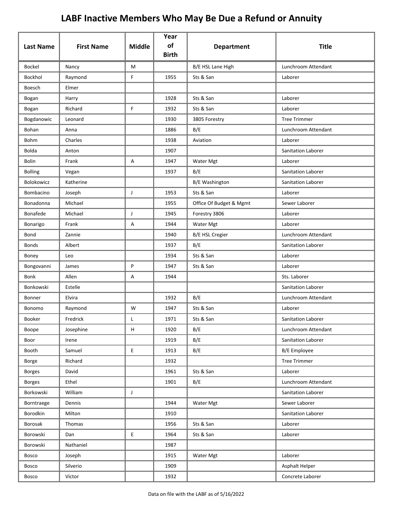| <b>Last Name</b> | <b>First Name</b> | <b>Middle</b> | Year<br>of   | <b>Department</b>       | <b>Title</b>              |
|------------------|-------------------|---------------|--------------|-------------------------|---------------------------|
|                  |                   |               | <b>Birth</b> |                         |                           |
| Bockel           | Nancy             | M             |              | B/E HSL Lane High       | Lunchroom Attendant       |
| Bockhol          | Raymond           | F             | 1955         | Sts & San               | Laborer                   |
| Boesch           | Elmer             |               |              |                         |                           |
| Bogan            | Harry             |               | 1928         | Sts & San               | Laborer                   |
| Bogan            | Richard           | F             | 1932         | Sts & San               | Laborer                   |
| Bogdanowic       | Leonard           |               | 1930         | 3805 Forestry           | <b>Tree Trimmer</b>       |
| Bohan            | Anna              |               | 1886         | B/E                     | Lunchroom Attendant       |
| Bohm             | Charles           |               | 1938         | Aviation                | Laborer                   |
| Bolda            | Anton             |               | 1907         |                         | Sanitation Laborer        |
| <b>Bolin</b>     | Frank             | A             | 1947         | Water Mgt               | Laborer                   |
| <b>Bolling</b>   | Vegan             |               | 1937         | B/E                     | Sanitation Laborer        |
| Bolokowicz       | Katherine         |               |              | <b>B/E Washington</b>   | <b>Sanitation Laborer</b> |
| Bombacino        | Joseph            | J             | 1953         | Sts & San               | Laborer                   |
| Bonadonna        | Michael           |               | 1955         | Office Of Budget & Mgmt | Sewer Laborer             |
| Bonafede         | Michael           | J             | 1945         | Forestry 3806           | Laborer                   |
| Bonarigo         | Frank             | Α             | 1944         | Water Mgt               | Laborer                   |
| Bond             | Zannie            |               | 1940         | <b>B/E HSL Cregier</b>  | Lunchroom Attendant       |
| <b>Bonds</b>     | Albert            |               | 1937         | B/E                     | Sanitation Laborer        |
| Boney            | Leo               |               | 1934         | Sts & San               | Laborer                   |
| Bongovanni       | James             | P             | 1947         | Sts & San               | Laborer                   |
| <b>Bonk</b>      | Allen             | Α             | 1944         |                         | Sts. Laborer              |
| Bonkowski        | Estelle           |               |              |                         | Sanitation Laborer        |
| Bonner           | Elvira            |               | 1932         | B/E                     | Lunchroom Attendant       |
| Bonomo           | Raymond           | W             | 1947         | Sts & San               | Laborer                   |
| Booker           | Fredrick          |               | 1971         | Sts & San               | Sanitation Laborer        |
| Boope            | Josephine         | н             | 1920         | B/E                     | Lunchroom Attendant       |
| Boor             | Irene             |               | 1919         | B/E                     | Sanitation Laborer        |
| Booth            | Samuel            | E             | 1913         | B/E                     | <b>B/E</b> Employee       |
| Borge            | Richard           |               | 1932         |                         | <b>Tree Trimmer</b>       |
| <b>Borges</b>    | David             |               | 1961         | Sts & San               | Laborer                   |
| <b>Borges</b>    | Ethel             |               | 1901         | B/E                     | Lunchroom Attendant       |
| Borkowski        | William           | J             |              |                         | <b>Sanitation Laborer</b> |
| Borntraege       | Dennis            |               | 1944         | Water Mgt               | Sewer Laborer             |
| Borodkin         | Milton            |               | 1910         |                         | Sanitation Laborer        |
| Borosak          | Thomas            |               | 1956         | Sts & San               | Laborer                   |
| Borowski         | Dan               | E             | 1964         | Sts & San               | Laborer                   |
| Borowski         | Nathaniel         |               | 1987         |                         |                           |
| <b>Bosco</b>     | Joseph            |               | 1915         | Water Mgt               | Laborer                   |
| Bosco            | Silverio          |               | 1909         |                         | Asphalt Helper            |
| Bosco            | Victor            |               | 1932         |                         | Concrete Laborer          |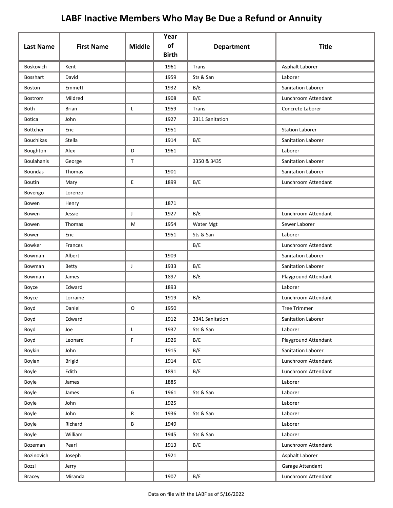| <b>Last Name</b>  | <b>First Name</b> | <b>Middle</b> | Year<br>of<br><b>Birth</b> | <b>Department</b> | <b>Title</b>           |
|-------------------|-------------------|---------------|----------------------------|-------------------|------------------------|
| Boskovich         | Kent              |               | 1961                       | Trans             | Asphalt Laborer        |
| <b>Bosshart</b>   | David             |               | 1959                       | Sts & San         | Laborer                |
| Boston            | Emmett            |               | 1932                       | B/E               | Sanitation Laborer     |
| Bostrom           | Mildred           |               | 1908                       | B/E               | Lunchroom Attendant    |
| Both              | <b>Brian</b>      | L             | 1959                       | Trans             | Concrete Laborer       |
| <b>Botica</b>     | John              |               | 1927                       | 3311 Sanitation   |                        |
| Bottcher          | Eric              |               | 1951                       |                   | <b>Station Laborer</b> |
| <b>Bouchikas</b>  | Stella            |               | 1914                       | B/E               | Sanitation Laborer     |
| Boughton          | Alex              | D             | 1961                       |                   | Laborer                |
| <b>Boulahanis</b> | George            | $\mathsf{T}$  |                            | 3350 & 3435       | Sanitation Laborer     |
| <b>Boundas</b>    | <b>Thomas</b>     |               | 1901                       |                   | Sanitation Laborer     |
| Boutin            | Mary              | E             | 1899                       | B/E               | Lunchroom Attendant    |
| Bovengo           | Lorenzo           |               |                            |                   |                        |
| Bowen             | Henry             |               | 1871                       |                   |                        |
| Bowen             | Jessie            | J             | 1927                       | B/E               | Lunchroom Attendant    |
| Bowen             | Thomas            | M             | 1954                       | Water Mgt         | Sewer Laborer          |
| Bower             | Eric              |               | 1951                       | Sts & San         | Laborer                |
| Bowker            | Frances           |               |                            | B/E               | Lunchroom Attendant    |
| Bowman            | Albert            |               | 1909                       |                   | Sanitation Laborer     |
| Bowman            | <b>Betty</b>      | J             | 1933                       | B/E               | Sanitation Laborer     |
| Bowman            | James             |               | 1897                       | B/E               | Playground Attendant   |
| Boyce             | Edward            |               | 1893                       |                   | Laborer                |
| Boyce             | Lorraine          |               | 1919                       | B/E               | Lunchroom Attendant    |
| Boyd              | Daniel            | $\mathsf O$   | 1950                       |                   | <b>Tree Trimmer</b>    |
| Boyd              | Edward            |               | 1912                       | 3341 Sanitation   | Sanitation Laborer     |
| Boyd              | Joe               | L             | 1937                       | Sts & San         | Laborer                |
| Boyd              | Leonard           | F             | 1926                       | B/E               | Playground Attendant   |
| Boykin            | John              |               | 1915                       | B/E               | Sanitation Laborer     |
| Boylan            | <b>Brigid</b>     |               | 1914                       | B/E               | Lunchroom Attendant    |
| Boyle             | Edith             |               | 1891                       | B/E               | Lunchroom Attendant    |
| Boyle             | James             |               | 1885                       |                   | Laborer                |
| Boyle             | James             | G             | 1961                       | Sts & San         | Laborer                |
| Boyle             | John              |               | 1925                       |                   | Laborer                |
| Boyle             | John              | R             | 1936                       | Sts & San         | Laborer                |
| Boyle             | Richard           | B             | 1949                       |                   | Laborer                |
| Boyle             | William           |               | 1945                       | Sts & San         | Laborer                |
| Bozeman           | Pearl             |               | 1913                       | B/E               | Lunchroom Attendant    |
| Bozinovich        | Joseph            |               | 1921                       |                   | Asphalt Laborer        |
| Bozzi             | Jerry             |               |                            |                   | Garage Attendant       |
| Bracey            | Miranda           |               | 1907                       | B/E               | Lunchroom Attendant    |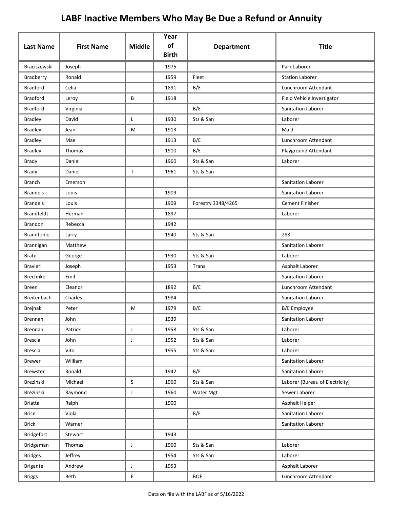| <b>Last Name</b>  | <b>First Name</b> | <b>Middle</b> | Year<br>of   |                    | <b>Title</b>                    |
|-------------------|-------------------|---------------|--------------|--------------------|---------------------------------|
|                   |                   |               | <b>Birth</b> | <b>Department</b>  |                                 |
| Braciszewski      | Joseph            |               | 1975         |                    | Park Laborer                    |
| Bradberry         | Ronald            |               | 1959         | Fleet              | <b>Station Laborer</b>          |
| <b>Bradford</b>   | Celia             |               | 1891         | B/E                | Lunchroom Attendant             |
| <b>Bradford</b>   | Leroy             | B             | 1918         |                    | Field Vehicle Investigator      |
| <b>Bradford</b>   | Virginia          |               |              | B/E                | Sanitation Laborer              |
| <b>Bradley</b>    | David             | L             | 1930         | Sts & San          | Laborer                         |
| <b>Bradley</b>    | Jean              | M             | 1913         |                    | Maid                            |
| <b>Bradley</b>    | Mae               |               | 1913         | B/E                | Lunchroom Attendant             |
| <b>Bradley</b>    | Thomas            |               | 1910         | B/E                | Playground Attendant            |
| Brady             | Daniel            |               | 1960         | Sts & San          | Laborer                         |
| Brady             | Daniel            | $\mathsf{T}$  | 1961         | Sts & San          |                                 |
| <b>Branch</b>     | Emerson           |               |              |                    | <b>Sanitation Laborer</b>       |
| <b>Brandeis</b>   | Louis             |               | 1909         |                    | Sanitation Laborer              |
| <b>Brandeis</b>   | Louis             |               | 1909         | Forestry 3348/4265 | <b>Cement Finisher</b>          |
| <b>Brandfeldt</b> | Herman            |               | 1897         |                    | Laborer                         |
| Brandon           | Rebecca           |               | 1942         |                    |                                 |
| <b>Brandtonie</b> | Larry             |               | 1940         | Sts & San          | 288                             |
| Brannigan         | Matthew           |               |              |                    | Sanitation Laborer              |
| <b>Bratu</b>      | George            |               | 1930         | Sts & San          | Laborer                         |
| <b>Bravieri</b>   | Joseph            |               | 1953         | <b>Trans</b>       | Asphalt Laborer                 |
| <b>Brechnke</b>   | Emil              |               |              |                    | <b>Sanitation Laborer</b>       |
| Breen             | Eleanor           |               | 1892         | B/E                | Lunchroom Attendant             |
| Breitenbach       | Charles           |               | 1984         |                    | Sanitation Laborer              |
| Brejnak           | Peter             | M             | 1979         | B/E                | B/E Employee                    |
| Brennan           | John              |               | 1939         |                    | Sanitation Laborer              |
| Brennan           | Patrick           | J             | 1958         | Sts & San          | Laborer                         |
| <b>Brescia</b>    | John              | J             | 1952         | Sts & San          | Laborer                         |
| <b>Brescia</b>    | Vito              |               | 1955         | Sts & San          | Laborer                         |
| <b>Brewer</b>     | William           |               |              |                    | Sanitation Laborer              |
| Brewster          | Ronald            |               | 1942         | B/E                | Sanitation Laborer              |
| Brezinski         | Michael           | $\mathsf{S}$  | 1960         | Sts & San          | Laborer (Bureau of Electricity) |
| Brezinski         | Raymond           | J             | 1960         | Water Mgt          | Sewer Laborer                   |
| <b>Briatta</b>    | Ralph             |               | 1900         |                    | Asphalt Helper                  |
| <b>Brice</b>      | Viola             |               |              | B/E                | Sanitation Laborer              |
| <b>Brick</b>      | Warner            |               |              |                    | Sanitation Laborer              |
| Bridgefort        | Stewart           |               | 1943         |                    |                                 |
| Bridgeman         | Thomas            | J             | 1960         | Sts & San          | Laborer                         |
| <b>Bridges</b>    | Jeffrey           |               | 1954         | Sts & San          | Laborer                         |
| <b>Brigante</b>   | Andrew            | $\mathsf{J}$  | 1953         |                    | Asphalt Laborer                 |
| <b>Briggs</b>     | Beth              | E             |              | <b>BOE</b>         | Lunchroom Attendant             |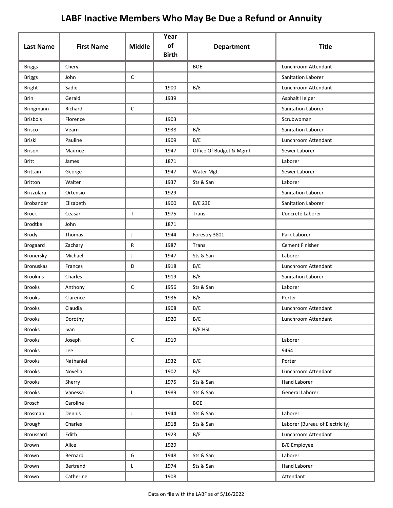| <b>Last Name</b> | <b>First Name</b> | <b>Middle</b> | Year<br>of<br><b>Birth</b> | <b>Department</b>       | <b>Title</b>                    |
|------------------|-------------------|---------------|----------------------------|-------------------------|---------------------------------|
| <b>Briggs</b>    | Cheryl            |               |                            | <b>BOE</b>              | Lunchroom Attendant             |
| <b>Briggs</b>    | John              | $\mathsf C$   |                            |                         | <b>Sanitation Laborer</b>       |
| <b>Bright</b>    | Sadie             |               | 1900                       | B/E                     | Lunchroom Attendant             |
| Brin             | Gerald            |               | 1939                       |                         | Asphalt Helper                  |
| Bringmann        | Richard           | $\mathsf C$   |                            |                         | Sanitation Laborer              |
| <b>Brisbois</b>  | Florence          |               | 1903                       |                         | Scrubwoman                      |
| <b>Brisco</b>    | Vearn             |               | 1938                       | B/E                     | Sanitation Laborer              |
| Briski           | Pauline           |               | 1909                       | B/E                     | Lunchroom Attendant             |
| <b>Brison</b>    | Maurice           |               | 1947                       | Office Of Budget & Mgmt | Sewer Laborer                   |
| Britt            | James             |               | 1871                       |                         | Laborer                         |
| <b>Brittain</b>  | George            |               | 1947                       | Water Mgt               | Sewer Laborer                   |
| <b>Britton</b>   | Walter            |               | 1937                       | Sts & San               | Laborer                         |
| Brizzolara       | Ortensio          |               | 1929                       |                         | Sanitation Laborer              |
| <b>Brobander</b> | Elizabeth         |               | 1900                       | <b>B/E 23E</b>          | Sanitation Laborer              |
| <b>Brock</b>     | Ceasar            | $\mathsf{T}$  | 1975                       | Trans                   | Concrete Laborer                |
| <b>Brodtke</b>   | John              |               | 1871                       |                         |                                 |
| Brody            | Thomas            | J             | 1944                       | Forestry 3801           | Park Laborer                    |
| <b>Brogaard</b>  | Zachary           | ${\sf R}$     | 1987                       | Trans                   | <b>Cement Finisher</b>          |
| Bronersky        | Michael           | J             | 1947                       | Sts & San               | Laborer                         |
| <b>Bronuskas</b> | Frances           | D             | 1918                       | B/E                     | Lunchroom Attendant             |
| <b>Brookins</b>  | Charles           |               | 1919                       | B/E                     | Sanitation Laborer              |
| <b>Brooks</b>    | Anthony           | $\mathsf C$   | 1956                       | Sts & San               | Laborer                         |
| <b>Brooks</b>    | Clarence          |               | 1936                       | B/E                     | Porter                          |
| <b>Brooks</b>    | Claudia           |               | 1908                       | B/E                     | Lunchroom Attendant             |
| <b>Brooks</b>    | Dorothy           |               | 1920                       | B/E                     | Lunchroom Attendant             |
| <b>Brooks</b>    | Ivan              |               |                            | B/E HSL                 |                                 |
| <b>Brooks</b>    | Joseph            | $\mathsf C$   | 1919                       |                         | Laborer                         |
| <b>Brooks</b>    | Lee               |               |                            |                         | 9464                            |
| <b>Brooks</b>    | Nathaniel         |               | 1932                       | B/E                     | Porter                          |
| <b>Brooks</b>    | Novella           |               | 1902                       | B/E                     | Lunchroom Attendant             |
| <b>Brooks</b>    | Sherry            |               | 1975                       | Sts & San               | Hand Laborer                    |
| <b>Brooks</b>    | Vanessa           | L             | 1989                       | Sts & San               | General Laborer                 |
| Brosch           | Caroline          |               |                            | <b>BOE</b>              |                                 |
| Brosman          | Dennis            | $\mathsf J$   | 1944                       | Sts & San               | Laborer                         |
| Brough           | Charles           |               | 1918                       | Sts & San               | Laborer (Bureau of Electricity) |
| <b>Broussard</b> | Edith             |               | 1923                       | B/E                     | Lunchroom Attendant             |
| Brown            | Alice             |               | 1929                       |                         | B/E Employee                    |
| Brown            | Bernard           | G             | 1948                       | Sts & San               | Laborer                         |
| Brown            | Bertrand          | L             | 1974                       | Sts & San               | Hand Laborer                    |
| Brown            | Catherine         |               | 1908                       |                         | Attendant                       |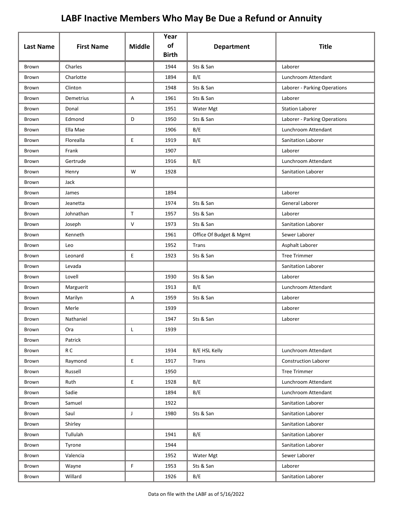| <b>Last Name</b> | <b>First Name</b> | <b>Middle</b> | Year<br>of<br><b>Birth</b> | <b>Department</b>       | <b>Title</b>                 |
|------------------|-------------------|---------------|----------------------------|-------------------------|------------------------------|
| Brown            | Charles           |               | 1944                       | Sts & San               | Laborer                      |
| Brown            | Charlotte         |               | 1894                       | B/E                     | Lunchroom Attendant          |
| Brown            | Clinton           |               | 1948                       | Sts & San               | Laborer - Parking Operations |
| Brown            | Demetrius         | Α             | 1961                       | Sts & San               | Laborer                      |
| Brown            | Donal             |               | 1951                       | Water Mgt               | <b>Station Laborer</b>       |
| Brown            | Edmond            | D             | 1950                       | Sts & San               | Laborer - Parking Operations |
| Brown            | Ella Mae          |               | 1906                       | B/E                     | Lunchroom Attendant          |
| Brown            | Florealla         | E             | 1919                       | B/E                     | Sanitation Laborer           |
| Brown            | Frank             |               | 1907                       |                         | Laborer                      |
| Brown            | Gertrude          |               | 1916                       | B/E                     | Lunchroom Attendant          |
| Brown            | Henry             | W             | 1928                       |                         | <b>Sanitation Laborer</b>    |
| Brown            | Jack              |               |                            |                         |                              |
| Brown            | James             |               | 1894                       |                         | Laborer                      |
| Brown            | Jeanetta          |               | 1974                       | Sts & San               | General Laborer              |
| Brown            | Johnathan         | $\mathsf{T}$  | 1957                       | Sts & San               | Laborer                      |
| Brown            | Joseph            | $\vee$        | 1973                       | Sts & San               | Sanitation Laborer           |
| Brown            | Kenneth           |               | 1961                       | Office Of Budget & Mgmt | Sewer Laborer                |
| Brown            | Leo               |               | 1952                       | Trans                   | Asphalt Laborer              |
| Brown            | Leonard           | E             | 1923                       | Sts & San               | <b>Tree Trimmer</b>          |
| Brown            | Levada            |               |                            |                         | Sanitation Laborer           |
| Brown            | Lovell            |               | 1930                       | Sts & San               | Laborer                      |
| Brown            | Marguerit         |               | 1913                       | B/E                     | Lunchroom Attendant          |
| Brown            | Marilyn           | Α             | 1959                       | Sts & San               | Laborer                      |
| Brown            | Merle             |               | 1939                       |                         | Laborer                      |
| Brown            | Nathaniel         |               | 1947                       | Sts & San               | Laborer                      |
| Brown            | Ora               | L             | 1939                       |                         |                              |
| Brown            | Patrick           |               |                            |                         |                              |
| Brown            | R C               |               | 1934                       | B/E HSL Kelly           | Lunchroom Attendant          |
| Brown            | Raymond           | E.            | 1917                       | Trans                   | <b>Construction Laborer</b>  |
| Brown            | Russell           |               | 1950                       |                         | <b>Tree Trimmer</b>          |
| <b>Brown</b>     | Ruth              | $\mathsf E$   | 1928                       | B/E                     | Lunchroom Attendant          |
| Brown            | Sadie             |               | 1894                       | B/E                     | Lunchroom Attendant          |
| Brown            | Samuel            |               | 1922                       |                         | Sanitation Laborer           |
| Brown            | Saul              | J             | 1980                       | Sts & San               | Sanitation Laborer           |
| Brown            | Shirley           |               |                            |                         | Sanitation Laborer           |
| Brown            | Tullulah          |               | 1941                       | B/E                     | Sanitation Laborer           |
| Brown            | Tyrone            |               | 1944                       |                         | Sanitation Laborer           |
| Brown            | Valencia          |               | 1952                       | Water Mgt               | Sewer Laborer                |
| Brown            | Wayne             | F.            | 1953                       | Sts & San               | Laborer                      |
| Brown            | Willard           |               | 1926                       | B/E                     | Sanitation Laborer           |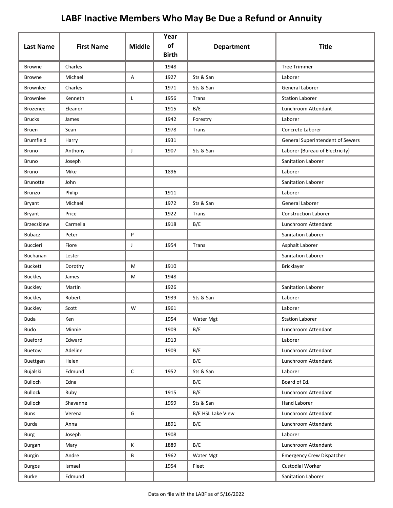| <b>Last Name</b>  | <b>First Name</b> | <b>Middle</b> | Year<br>of   | <b>Department</b> | <b>Title</b>                     |
|-------------------|-------------------|---------------|--------------|-------------------|----------------------------------|
|                   |                   |               | <b>Birth</b> |                   |                                  |
| <b>Browne</b>     | Charles           |               | 1948         |                   | <b>Tree Trimmer</b>              |
| <b>Browne</b>     | Michael           | A             | 1927         | Sts & San         | Laborer                          |
| <b>Brownlee</b>   | Charles           |               | 1971         | Sts & San         | General Laborer                  |
| <b>Brownlee</b>   | Kenneth           | Г             | 1956         | Trans             | <b>Station Laborer</b>           |
| <b>Brozenec</b>   | Eleanor           |               | 1915         | B/E               | Lunchroom Attendant              |
| <b>Brucks</b>     | James             |               | 1942         | Forestry          | Laborer                          |
| Bruen             | Sean              |               | 1978         | Trans             | Concrete Laborer                 |
| <b>Brumfield</b>  | Harry             |               | 1931         |                   | General Superintendent of Sewers |
| <b>Bruno</b>      | Anthony           | J             | 1907         | Sts & San         | Laborer (Bureau of Electricity)  |
| <b>Bruno</b>      | Joseph            |               |              |                   | Sanitation Laborer               |
| Bruno             | Mike              |               | 1896         |                   | Laborer                          |
| <b>Brunotte</b>   | John              |               |              |                   | Sanitation Laborer               |
| <b>Brunzo</b>     | Philip            |               | 1911         |                   | Laborer                          |
| Bryant            | Michael           |               | 1972         | Sts & San         | General Laborer                  |
| Bryant            | Price             |               | 1922         | Trans             | <b>Construction Laborer</b>      |
| <b>Brzeczkiew</b> | Carmella          |               | 1918         | B/E               | Lunchroom Attendant              |
| <b>Bubacz</b>     | Peter             | P             |              |                   | Sanitation Laborer               |
| <b>Buccieri</b>   | Fiore             | J             | 1954         | Trans             | Asphalt Laborer                  |
| Buchanan          | Lester            |               |              |                   | Sanitation Laborer               |
| <b>Buckett</b>    | Dorothy           | M             | 1910         |                   | <b>Bricklayer</b>                |
| <b>Buckley</b>    | James             | М             | 1948         |                   |                                  |
| <b>Buckley</b>    | Martin            |               | 1926         |                   | Sanitation Laborer               |
| <b>Buckley</b>    | Robert            |               | 1939         | Sts & San         | Laborer                          |
| <b>Buckley</b>    | Scott             | W             | 1961         |                   | Laborer                          |
| <b>Buda</b>       | Ken               |               | 1954         | Water Mgt         | <b>Station Laborer</b>           |
| <b>Budo</b>       | Minnie            |               | 1909         | B/E               | Lunchroom Attendant              |
| Bueford           | Edward            |               | 1913         |                   | Laborer                          |
| Buetow            | Adeline           |               | 1909         | B/E               | Lunchroom Attendant              |
| Buettgen          | Helen             |               |              | B/E               | Lunchroom Attendant              |
| Bujalski          | Edmund            | $\mathsf C$   | 1952         | Sts & San         | Laborer                          |
| <b>Bulloch</b>    | Edna              |               |              | B/E               | Board of Ed.                     |
| <b>Bullock</b>    | Ruby              |               | 1915         | B/E               | Lunchroom Attendant              |
| <b>Bullock</b>    | Shavanne          |               | 1959         | Sts & San         | Hand Laborer                     |
| <b>Buns</b>       | Verena            | G             |              | B/E HSL Lake View | Lunchroom Attendant              |
| Burda             | Anna              |               | 1891         | B/E               | Lunchroom Attendant              |
| Burg              | Joseph            |               | 1908         |                   | Laborer                          |
| Burgan            | Mary              | Κ             | 1889         | B/E               | Lunchroom Attendant              |
| Burgin            | Andre             | B             | 1962         | Water Mgt         | <b>Emergency Crew Dispatcher</b> |
| <b>Burgos</b>     | Ismael            |               | 1954         | Fleet             | Custodial Worker                 |
| Burke             | Edmund            |               |              |                   | Sanitation Laborer               |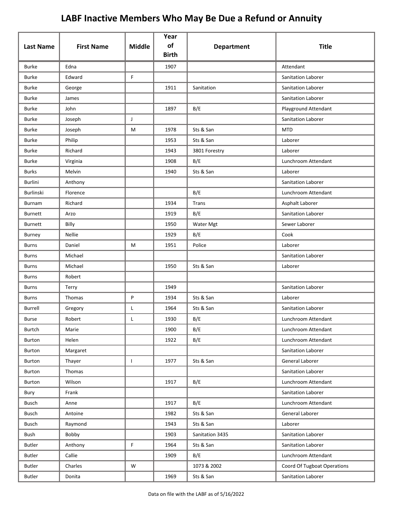| <b>Last Name</b> | <b>First Name</b> | <b>Middle</b> | Year<br>of<br><b>Birth</b> | <b>Department</b> | <b>Title</b>                |
|------------------|-------------------|---------------|----------------------------|-------------------|-----------------------------|
| <b>Burke</b>     | Edna              |               | 1907                       |                   | Attendant                   |
| <b>Burke</b>     | Edward            | F             |                            |                   | Sanitation Laborer          |
| <b>Burke</b>     | George            |               | 1911                       | Sanitation        | Sanitation Laborer          |
| <b>Burke</b>     | James             |               |                            |                   | Sanitation Laborer          |
| <b>Burke</b>     | John              |               | 1897                       | B/E               | Playground Attendant        |
| <b>Burke</b>     | Joseph            | J             |                            |                   | Sanitation Laborer          |
| <b>Burke</b>     | Joseph            | М             | 1978                       | Sts & San         | <b>MTD</b>                  |
| <b>Burke</b>     | Philip            |               | 1953                       | Sts & San         | Laborer                     |
| <b>Burke</b>     | Richard           |               | 1943                       | 3801 Forestry     | Laborer                     |
| <b>Burke</b>     | Virginia          |               | 1908                       | B/E               | Lunchroom Attendant         |
| <b>Burks</b>     | Melvin            |               | 1940                       | Sts & San         | Laborer                     |
| <b>Burlini</b>   | Anthony           |               |                            |                   | Sanitation Laborer          |
| <b>Burlinski</b> | Florence          |               |                            | B/E               | Lunchroom Attendant         |
| Burnam           | Richard           |               | 1934                       | Trans             | Asphalt Laborer             |
| <b>Burnett</b>   | Arzo              |               | 1919                       | B/E               | Sanitation Laborer          |
| <b>Burnett</b>   | Billy             |               | 1950                       | Water Mgt         | Sewer Laborer               |
| <b>Burney</b>    | <b>Nellie</b>     |               | 1929                       | B/E               | Cook                        |
| <b>Burns</b>     | Daniel            | М             | 1951                       | Police            | Laborer                     |
| <b>Burns</b>     | Michael           |               |                            |                   | Sanitation Laborer          |
| <b>Burns</b>     | Michael           |               | 1950                       | Sts & San         | Laborer                     |
| <b>Burns</b>     | Robert            |               |                            |                   |                             |
| <b>Burns</b>     | Terry             |               | 1949                       |                   | Sanitation Laborer          |
| <b>Burns</b>     | Thomas            | P             | 1934                       | Sts & San         | Laborer                     |
| Burrell          | Gregory           | L             | 1964                       | Sts & San         | Sanitation Laborer          |
| <b>Burse</b>     | Robert            |               | 1930                       | B/E               | Lunchroom Attendant         |
| Burtch           | Marie             |               | 1900                       | B/E               | Lunchroom Attendant         |
| Burton           | Helen             |               | 1922                       | B/E               | Lunchroom Attendant         |
| Burton           | Margaret          |               |                            |                   | Sanitation Laborer          |
| Burton           | Thayer            | $\mathbf{L}$  | 1977                       | Sts & San         | General Laborer             |
| Burton           | Thomas            |               |                            |                   | Sanitation Laborer          |
| Burton           | Wilson            |               | 1917                       | B/E               | Lunchroom Attendant         |
| Bury             | Frank             |               |                            |                   | Sanitation Laborer          |
| Busch            | Anne              |               | 1917                       | B/E               | Lunchroom Attendant         |
| <b>Busch</b>     | Antoine           |               | 1982                       | Sts & San         | General Laborer             |
| <b>Busch</b>     | Raymond           |               | 1943                       | Sts & San         | Laborer                     |
| Bush             | Bobby             |               | 1903                       | Sanitation 3435   | Sanitation Laborer          |
| <b>Butler</b>    | Anthony           | F             | 1964                       | Sts & San         | Sanitation Laborer          |
| <b>Butler</b>    | Callie            |               | 1909                       | B/E               | Lunchroom Attendant         |
| <b>Butler</b>    | Charles           | W             |                            | 1073 & 2002       | Coord Of Tugboat Operations |
| <b>Butler</b>    | Donita            |               | 1969                       | Sts & San         | Sanitation Laborer          |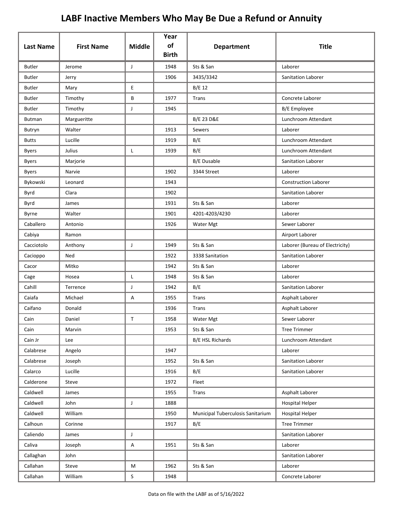| <b>Last Name</b> | <b>First Name</b> | <b>Middle</b> | Year<br>of<br><b>Birth</b> | <b>Department</b>                 | <b>Title</b>                    |
|------------------|-------------------|---------------|----------------------------|-----------------------------------|---------------------------------|
| <b>Butler</b>    | Jerome            | J             | 1948                       | Sts & San                         | Laborer                         |
| <b>Butler</b>    | Jerry             |               | 1906                       | 3435/3342                         | Sanitation Laborer              |
| <b>Butler</b>    | Mary              | E             |                            | B/E 12                            |                                 |
| <b>Butler</b>    | Timothy           | В             | 1977                       | Trans                             | Concrete Laborer                |
| <b>Butler</b>    | Timothy           | J             | 1945                       |                                   | <b>B/E</b> Employee             |
| Butman           | Margueritte       |               |                            | <b>B/E 23 D&amp;E</b>             | Lunchroom Attendant             |
| Butryn           | Walter            |               | 1913                       | Sewers                            | Laborer                         |
| <b>Butts</b>     | Lucille           |               | 1919                       | B/E                               | Lunchroom Attendant             |
| <b>Byers</b>     | Julius            | L             | 1939                       | B/E                               | Lunchroom Attendant             |
| <b>Byers</b>     | Marjorie          |               |                            | B/E Dusable                       | Sanitation Laborer              |
| <b>Byers</b>     | Narvie            |               | 1902                       | 3344 Street                       | Laborer                         |
| Bykowski         | Leonard           |               | 1943                       |                                   | <b>Construction Laborer</b>     |
| Byrd             | Clara             |               | 1902                       |                                   | Sanitation Laborer              |
| Byrd             | James             |               | 1931                       | Sts & San                         | Laborer                         |
| Byrne            | Walter            |               | 1901                       | 4201-4203/4230                    | Laborer                         |
| Caballero        | Antonio           |               | 1926                       | Water Mgt                         | Sewer Laborer                   |
| Cabiya           | Ramon             |               |                            |                                   | Airport Laborer                 |
| Cacciotolo       | Anthony           | J             | 1949                       | Sts & San                         | Laborer (Bureau of Electricity) |
| Cacioppo         | Ned               |               | 1922                       | 3338 Sanitation                   | Sanitation Laborer              |
| Cacor            | Mitko             |               | 1942                       | Sts & San                         | Laborer                         |
| Cage             | Hosea             | L             | 1948                       | Sts & San                         | Laborer                         |
| Cahill           | Terrence          | J             | 1942                       | B/E                               | Sanitation Laborer              |
| Caiafa           | Michael           | Α             | 1955                       | Trans                             | Asphalt Laborer                 |
| Caifano          | Donald            |               | 1936                       | Trans                             | Asphalt Laborer                 |
| Cain             | Daniel            | $\mathsf{T}$  | 1958                       | Water Mgt                         | Sewer Laborer                   |
| Cain             | Marvin            |               | 1953                       | Sts & San                         | <b>Tree Trimmer</b>             |
| Cain Jr          | Lee               |               |                            | B/E HSL Richards                  | Lunchroom Attendant             |
| Calabrese        | Angelo            |               | 1947                       |                                   | Laborer                         |
| Calabrese        | Joseph            |               | 1952                       | Sts & San                         | Sanitation Laborer              |
| Calarco          | Lucille           |               | 1916                       | B/E                               | Sanitation Laborer              |
| Calderone        | Steve             |               | 1972                       | Fleet                             |                                 |
| Caldwell         | James             |               | 1955                       | Trans                             | Asphalt Laborer                 |
| Caldwell         | John              | J             | 1888                       |                                   | <b>Hospital Helper</b>          |
| Caldwell         | William           |               | 1950                       | Municipal Tuberculosis Sanitarium | <b>Hospital Helper</b>          |
| Calhoun          | Corinne           |               | 1917                       | B/E                               | <b>Tree Trimmer</b>             |
| Caliendo         | James             | J             |                            |                                   | Sanitation Laborer              |
| Caliva           | Joseph            | А             | 1951                       | Sts & San                         | Laborer                         |
| Callaghan        | John              |               |                            |                                   | Sanitation Laborer              |
| Callahan         | Steve             | M             | 1962                       | Sts & San                         | Laborer                         |
| Callahan         | William           | $\sf S$       | 1948                       |                                   | Concrete Laborer                |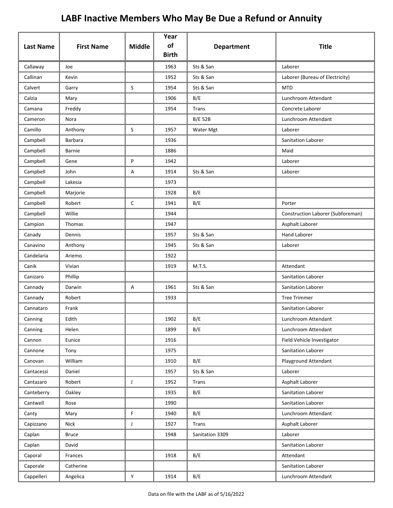|                  | <b>First Name</b> | <b>Middle</b> | Year<br>of   |                   | <b>Title</b>                      |
|------------------|-------------------|---------------|--------------|-------------------|-----------------------------------|
| <b>Last Name</b> |                   |               | <b>Birth</b> | <b>Department</b> |                                   |
| Callaway         | Joe               |               | 1963         | Sts & San         | Laborer                           |
| Callinan         | Kevin             |               | 1952         | Sts & San         | Laborer (Bureau of Electricity)   |
| Calvert          | Garry             | S             | 1954         | Sts & San         | <b>MTD</b>                        |
| Calzia           | Mary              |               | 1906         | B/E               | Lunchroom Attendant               |
| Camana           | Freddy            |               | 1954         | Trans             | Concrete Laborer                  |
| Cameron          | Nora              |               |              | <b>B/E 52B</b>    | Lunchroom Attendant               |
| Camillo          | Anthony           | S             | 1957         | Water Mgt         | Laborer                           |
| Campbell         | <b>Barbara</b>    |               | 1936         |                   | Sanitation Laborer                |
| Campbell         | <b>Barnie</b>     |               | 1886         |                   | Maid                              |
| Campbell         | Gene              | P             | 1942         |                   | Laborer                           |
| Campbell         | John              | Α             | 1914         | Sts & San         | Laborer                           |
| Campbell         | Lakesia           |               | 1973         |                   |                                   |
| Campbell         | Marjorie          |               | 1928         | B/E               |                                   |
| Campbell         | Robert            | C             | 1941         | B/E               | Porter                            |
| Campbell         | Willie            |               | 1944         |                   | Construction Laborer (Subforeman) |
| Campion          | Thomas            |               | 1947         |                   | Asphalt Laborer                   |
| Canady           | Dennis            |               | 1957         | Sts & San         | <b>Hand Laborer</b>               |
| Canavino         | Anthony           |               | 1945         | Sts & San         | Laborer                           |
| Candelaria       | Ariemo            |               | 1922         |                   |                                   |
| Canik            | Vivian            |               | 1919         | M.T.S.            | Attendant                         |
| Canizaro         | Phillip           |               |              |                   | Sanitation Laborer                |
| Cannady          | Darwin            | Α             | 1961         | Sts & San         | Sanitation Laborer                |
| Cannady          | Robert            |               | 1933         |                   | <b>Tree Trimmer</b>               |
| Cannataro        | Frank             |               |              |                   | Sanitation Laborer                |
| Canning          | Edith             |               | 1902         | B/E               | Lunchroom Attendant               |
| Canning          | Helen             |               | 1899         | B/E               | Lunchroom Attendant               |
| Cannon           | Eunice            |               | 1916         |                   | Field Vehicle Investigator        |
| Cannone          | Tony              |               | 1975         |                   | Sanitation Laborer                |
| Canovan          | William           |               | 1910         | B/E               | Playground Attendant              |
| Cantacessi       | Daniel            |               | 1957         | Sts & San         | Laborer                           |
| Cantazaro        | Robert            | $\mathsf{J}$  | 1952         | <b>Trans</b>      | Asphalt Laborer                   |
| Canteberry       | Oakley            |               | 1935         | B/E               | Sanitation Laborer                |
| Cantwell         | Rose              |               | 1990         |                   | Sanitation Laborer                |
| Canty            | Mary              | F             | 1940         | B/E               | Lunchroom Attendant               |
| Capizzano        | Nick              | J             | 1927         | Trans             | Asphalt Laborer                   |
| Caplan           | <b>Bruce</b>      |               | 1948         | Sanitation 3309   | Laborer                           |
| Caplan           | David             |               |              |                   | Sanitation Laborer                |
| Caporal          | Frances           |               | 1918         | B/E               | Attendant                         |
| Caporale         | Catherine         |               |              |                   | Sanitation Laborer                |
| Cappelleri       | Angelica          | Υ             | 1914         | B/E               | Lunchroom Attendant               |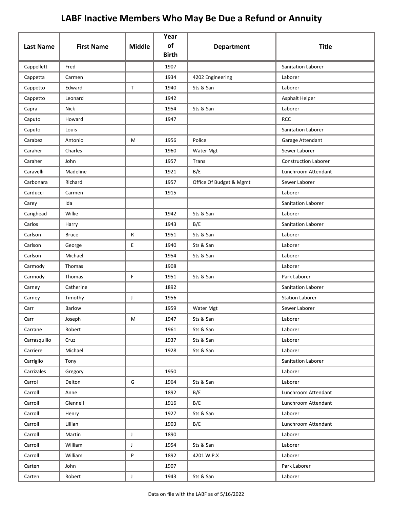| <b>Last Name</b> | <b>First Name</b> | <b>Middle</b> | Year<br>of   | <b>Department</b>       | <b>Title</b>                |
|------------------|-------------------|---------------|--------------|-------------------------|-----------------------------|
|                  |                   |               | <b>Birth</b> |                         |                             |
| Cappellett       | Fred              |               | 1907         |                         | Sanitation Laborer          |
| Cappetta         | Carmen            |               | 1934         | 4202 Engineering        | Laborer                     |
| Cappetto         | Edward            | $\mathsf{T}$  | 1940         | Sts & San               | Laborer                     |
| Cappetto         | Leonard           |               | 1942         |                         | Asphalt Helper              |
| Capra            | <b>Nick</b>       |               | 1954         | Sts & San               | Laborer                     |
| Caputo           | Howard            |               | 1947         |                         | <b>RCC</b>                  |
| Caputo           | Louis             |               |              |                         | Sanitation Laborer          |
| Carabez          | Antonio           | M             | 1956         | Police                  | Garage Attendant            |
| Caraher          | Charles           |               | 1960         | Water Mgt               | Sewer Laborer               |
| Caraher          | John              |               | 1957         | Trans                   | <b>Construction Laborer</b> |
| Caravelli        | Madeline          |               | 1921         | B/E                     | Lunchroom Attendant         |
| Carbonara        | Richard           |               | 1957         | Office Of Budget & Mgmt | Sewer Laborer               |
| Carducci         | Carmen            |               | 1915         |                         | Laborer                     |
| Carey            | Ida               |               |              |                         | Sanitation Laborer          |
| Carighead        | Willie            |               | 1942         | Sts & San               | Laborer                     |
| Carlos           | Harry             |               | 1943         | B/E                     | Sanitation Laborer          |
| Carlson          | <b>Bruce</b>      | R             | 1951         | Sts & San               | Laborer                     |
| Carlson          | George            | E             | 1940         | Sts & San               | Laborer                     |
| Carlson          | Michael           |               | 1954         | Sts & San               | Laborer                     |
| Carmody          | Thomas            |               | 1908         |                         | Laborer                     |
| Carmody          | Thomas            | F.            | 1951         | Sts & San               | Park Laborer                |
| Carney           | Catherine         |               | 1892         |                         | Sanitation Laborer          |
| Carney           | Timothy           | J             | 1956         |                         | <b>Station Laborer</b>      |
| Carr             | <b>Barlow</b>     |               | 1959         | Water Mgt               | Sewer Laborer               |
| Carr             | Joseph            | M             | 1947         | Sts & San               | Laborer                     |
| Carrane          | Robert            |               | 1961         | Sts & San               | Laborer                     |
| Carrasquillo     | Cruz              |               | 1937         | Sts & San               | Laborer                     |
| Carriere         | Michael           |               | 1928         | Sts & San               | Laborer                     |
| Carriglio        | Tony              |               |              |                         | Sanitation Laborer          |
| Carrizales       | Gregory           |               | 1950         |                         | Laborer                     |
| Carrol           | Delton            | G             | 1964         | Sts & San               | Laborer                     |
| Carroll          | Anne              |               | 1892         | B/E                     | Lunchroom Attendant         |
| Carroll          | Glennell          |               | 1916         | B/E                     | Lunchroom Attendant         |
| Carroll          | Henry             |               | 1927         | Sts & San               | Laborer                     |
| Carroll          | Lillian           |               | 1903         | B/E                     | Lunchroom Attendant         |
| Carroll          | Martin            | J             | 1890         |                         | Laborer                     |
| Carroll          | William           | $\mathsf{J}$  | 1954         | Sts & San               | Laborer                     |
| Carroll          | William           | P             | 1892         | 4201 W.P.X              | Laborer                     |
| Carten           | John              |               | 1907         |                         | Park Laborer                |
| Carten           | Robert            | $\mathsf J$   | 1943         | Sts & San               | Laborer                     |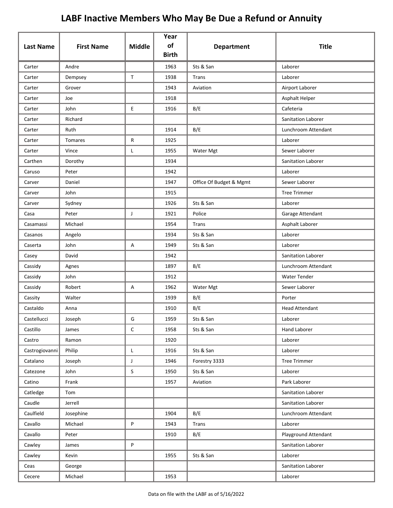| <b>Last Name</b> | <b>First Name</b> | <b>Middle</b> | Year<br>of   | <b>Department</b>       | <b>Title</b>                    |
|------------------|-------------------|---------------|--------------|-------------------------|---------------------------------|
|                  |                   |               | <b>Birth</b> |                         |                                 |
| Carter           | Andre             |               | 1963         | Sts & San               | Laborer                         |
| Carter           | Dempsey           | $\mathsf T$   | 1938         | Trans                   | Laborer                         |
| Carter           | Grover            |               | 1943         | Aviation                | Airport Laborer                 |
| Carter           | Joe               |               | 1918         |                         | Asphalt Helper                  |
| Carter           | John<br>Richard   | E             | 1916         | B/E                     | Cafeteria<br>Sanitation Laborer |
| Carter           |                   |               |              |                         |                                 |
| Carter           | Ruth              |               | 1914         | B/E                     | Lunchroom Attendant             |
| Carter           | Tomares<br>Vince  | R             | 1925         |                         | Laborer<br>Sewer Laborer        |
| Carter           |                   | L             | 1955         | Water Mgt               |                                 |
| Carthen          | Dorothy           |               | 1934         |                         | Sanitation Laborer              |
| Caruso           | Peter             |               | 1942         |                         | Laborer                         |
| Carver           | Daniel            |               | 1947         | Office Of Budget & Mgmt | Sewer Laborer                   |
| Carver           | John              |               | 1915         |                         | <b>Tree Trimmer</b>             |
| Carver           | Sydney            |               | 1926         | Sts & San               | Laborer                         |
| Casa             | Peter             | J             | 1921         | Police                  | Garage Attendant                |
| Casamassi        | Michael           |               | 1954         | Trans                   | Asphalt Laborer                 |
| Casanos          | Angelo            |               | 1934         | Sts & San               | Laborer                         |
| Caserta          | John              | Α             | 1949         | Sts & San               | Laborer                         |
| Casey            | David             |               | 1942         |                         | <b>Sanitation Laborer</b>       |
| Cassidy          | Agnes             |               | 1897         | B/E                     | Lunchroom Attendant             |
| Cassidy          | John              |               | 1912         |                         | <b>Water Tender</b>             |
| Cassidy          | Robert            | A             | 1962         | Water Mgt               | Sewer Laborer                   |
| Cassity          | Walter            |               | 1939         | B/E                     | Porter                          |
| Castaldo         | Anna              |               | 1910         | B/E                     | <b>Head Attendant</b>           |
| Castellucci      | Joseph            | G             | 1959         | Sts & San               | Laborer                         |
| Castillo         | James             | $\mathsf C$   | 1958         | Sts & San               | <b>Hand Laborer</b>             |
| Castro           | Ramon             |               | 1920         |                         | Laborer                         |
| Castrogiovanni   | Philip            | L             | 1916         | Sts & San               | Laborer                         |
| Catalano         | Joseph            | $\mathsf{J}$  | 1946         | Forestry 3333           | <b>Tree Trimmer</b>             |
| Catezone         | John              | $\sf S$       | 1950         | Sts & San               | Laborer                         |
| Catino           | Frank             |               | 1957         | Aviation                | Park Laborer                    |
| Catledge         | Tom               |               |              |                         | Sanitation Laborer              |
| Caudle           | Jerrell           |               |              |                         | Sanitation Laborer              |
| Caulfield        | Josephine         |               | 1904         | B/E                     | Lunchroom Attendant             |
| Cavallo          | Michael           | P             | 1943         | Trans                   | Laborer                         |
| Cavallo          | Peter             |               | 1910         | B/E                     | Playground Attendant            |
| Cawley           | James             | P             |              |                         | Sanitation Laborer              |
| Cawley           | Kevin             |               | 1955         | Sts & San               | Laborer                         |
| Ceas             | George            |               |              |                         | Sanitation Laborer              |
| Cecere           | Michael           |               | 1953         |                         | Laborer                         |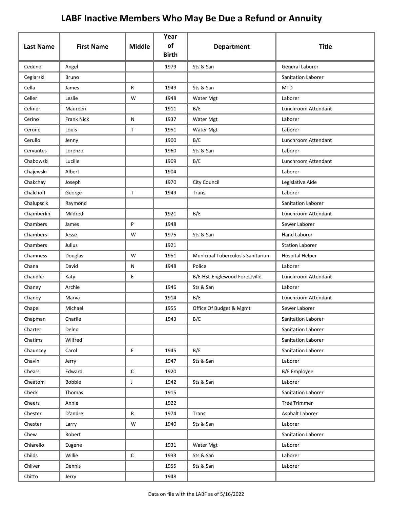| <b>Last Name</b> | <b>First Name</b> | <b>Middle</b> | Year<br>of<br><b>Birth</b> | <b>Department</b>                 | <b>Title</b>              |
|------------------|-------------------|---------------|----------------------------|-----------------------------------|---------------------------|
| Cedeno           | Angel             |               | 1979                       | Sts & San                         | General Laborer           |
| Ceglarski        | <b>Bruno</b>      |               |                            |                                   | Sanitation Laborer        |
| Cella            | James             | R             | 1949                       | Sts & San                         | <b>MTD</b>                |
| Celler           | Leslie            | W             | 1948                       | Water Mgt                         | Laborer                   |
| Celmer           | Maureen           |               | 1911                       | B/E                               | Lunchroom Attendant       |
| Cerino           | <b>Frank Nick</b> | N             | 1937                       | Water Mgt                         | Laborer                   |
| Cerone           | Louis             | T             | 1951                       | Water Mgt                         | Laborer                   |
| Cerullo          | Jenny             |               | 1900                       | B/E                               | Lunchroom Attendant       |
| Cervantes        | Lorenzo           |               | 1960                       | Sts & San                         | Laborer                   |
| Chabowski        | Lucille           |               | 1909                       | B/E                               | Lunchroom Attendant       |
| Chajewski        | Albert            |               | 1904                       |                                   | Laborer                   |
| Chakchay         | Joseph            |               | 1970                       | <b>City Council</b>               | Legislative Aide          |
| Chalchoff        | George            | $\mathsf{T}$  | 1949                       | Trans                             | Laborer                   |
| Chalupscik       | Raymond           |               |                            |                                   | <b>Sanitation Laborer</b> |
| Chamberlin       | Mildred           |               | 1921                       | B/E                               | Lunchroom Attendant       |
| Chambers         | James             | P             | 1948                       |                                   | Sewer Laborer             |
| Chambers         | Jesse             | W             | 1975                       | Sts & San                         | <b>Hand Laborer</b>       |
| Chambers         | Julius            |               | 1921                       |                                   | <b>Station Laborer</b>    |
| Chamness         | Douglas           | W             | 1951                       | Municipal Tuberculosis Sanitarium | <b>Hospital Helper</b>    |
| Chana            | David             | Ν             | 1948                       | Police                            | Laborer                   |
| Chandler         | Katy              | E             |                            | B/E HSL Englewood Forestville     | Lunchroom Attendant       |
| Chaney           | Archie            |               | 1946                       | Sts & San                         | Laborer                   |
| Chaney           | Marva             |               | 1914                       | B/E                               | Lunchroom Attendant       |
| Chapel           | Michael           |               | 1955                       | Office Of Budget & Mgmt           | Sewer Laborer             |
| Chapman          | Charlie           |               | 1943                       | B/E                               | Sanitation Laborer        |
| Charter          | Delno             |               |                            |                                   | Sanitation Laborer        |
| Chatims          | Wilfred           |               |                            |                                   | Sanitation Laborer        |
| Chauncey         | Carol             | E.            | 1945                       | B/E                               | Sanitation Laborer        |
| Chavin           | Jerry             |               | 1947                       | Sts & San                         | Laborer                   |
| Chears           | Edward            | $\mathsf C$   | 1920                       |                                   | B/E Employee              |
| Cheatom          | <b>Bobbie</b>     | $\mathsf{J}$  | 1942                       | Sts & San                         | Laborer                   |
| Check            | Thomas            |               | 1915                       |                                   | Sanitation Laborer        |
| Cheers           | Annie             |               | 1922                       |                                   | <b>Tree Trimmer</b>       |
| Chester          | D'andre           | R             | 1974                       | Trans                             | Asphalt Laborer           |
| Chester          | Larry             | W             | 1940                       | Sts & San                         | Laborer                   |
| Chew             | Robert            |               |                            |                                   | Sanitation Laborer        |
| Chiarello        | Eugene            |               | 1931                       | Water Mgt                         | Laborer                   |
| Childs           | Willie            | С             | 1933                       | Sts & San                         | Laborer                   |
| Chilver          | Dennis            |               | 1955                       | Sts & San                         | Laborer                   |
| Chitto           | Jerry             |               | 1948                       |                                   |                           |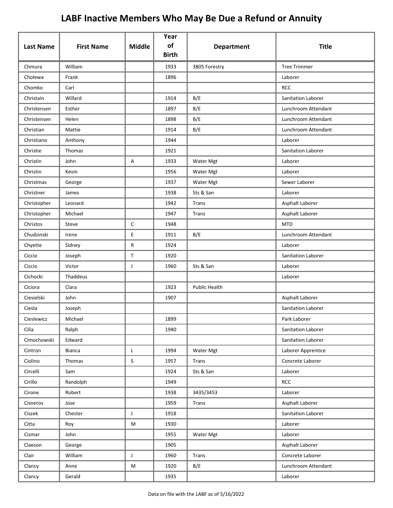| <b>Last Name</b> | <b>First Name</b> | <b>Middle</b> | Year<br>of<br><b>Birth</b> | <b>Department</b>    | <b>Title</b>        |
|------------------|-------------------|---------------|----------------------------|----------------------|---------------------|
| Chmura           | William           |               | 1933                       | 3805 Forestry        | <b>Tree Trimmer</b> |
| Cholewa          | Frank             |               | 1896                       |                      | Laborer             |
| Chomko           | Carl              |               |                            |                      | <b>RCC</b>          |
| Christain        | Willard           |               | 1914                       | B/E                  | Sanitation Laborer  |
| Christensen      | Esther            |               | 1897                       | B/E                  | Lunchroom Attendant |
| Christensen      | Helen             |               | 1898                       | B/E                  | Lunchroom Attendant |
| Christian        | Mattie            |               | 1914                       | B/E                  | Lunchroom Attendant |
| Christiano       | Anthony           |               | 1944                       |                      | Laborer             |
| Christie         | Thomas            |               | 1921                       |                      | Sanitation Laborer  |
| Christin         | John              | Α             | 1933                       | Water Mgt            | Laborer             |
| Christin         | Kevin             |               | 1956                       | Water Mgt            | Laborer             |
| Christmas        | George            |               | 1937                       | Water Mgt            | Sewer Laborer       |
| Christner        | James             |               | 1938                       | Sts & San            | Laborer             |
| Christopher      | Leonard           |               | 1942                       | Trans                | Asphalt Laborer     |
| Christopher      | Michael           |               | 1947                       | Trans                | Asphalt Laborer     |
| Christos         | Steve             | $\mathsf{C}$  | 1948                       |                      | <b>MTD</b>          |
| Chudzinski       | Irene             | E             | 1911                       | B/E                  | Lunchroom Attendant |
| Chyette          | Sidney            | R             | 1924                       |                      | Laborer             |
| Ciccio           | Joseph            | $\mathsf T$   | 1920                       |                      | Sanitation Laborer  |
| Ciccio           | Victor            | J             | 1960                       | Sts & San            | Laborer             |
| Cichocki         | Thaddeus          |               |                            |                      | Laborer             |
| Ciciora          | Clara             |               | 1923                       | <b>Public Health</b> |                     |
| Ciesielski       | John              |               | 1907                       |                      | Asphalt Laborer     |
| Ciesla           | Joseph            |               |                            |                      | Sanitation Laborer  |
| Cieslewicz       | Michael           |               | 1899                       |                      | Park Laborer        |
| Cilia            | Ralph             |               | 1940                       |                      | Sanitation Laborer  |
| Cimochowski      | Edward            |               |                            |                      | Sanitation Laborer  |
| Cintron          | Bianca            | L             | 1994                       | Water Mgt            | Laborer Apprentice  |
| Ciolino          | Thomas            | $\mathsf S$   | 1957                       | <b>Trans</b>         | Concrete Laborer    |
| Circelli         | Sam               |               | 1924                       | Sts & San            | Laborer             |
| Cirillo          | Randolph          |               | 1949                       |                      | <b>RCC</b>          |
| Cirone           | Robert            |               | 1938                       | 3435/3453            | Laborer             |
| Cisneros         | Jose              |               | 1959                       | <b>Trans</b>         | Asphalt Laborer     |
| Ciszek           | Chester           | J             | 1918                       |                      | Sanitation Laborer  |
| Citta            | Roy               | M             | 1930                       |                      | Laborer             |
| Cizmar           | John              |               | 1955                       | Water Mgt            | Laborer             |
| Claeson          | George            |               | 1905                       |                      | Asphalt Laborer     |
| Clair            | William           | $\mathsf{J}$  | 1960                       | Trans                | Concrete Laborer    |
| Clancy           | Anne              | M             | 1920                       | B/E                  | Lunchroom Attendant |
| Clancy           | Gerald            |               | 1935                       |                      | Laborer             |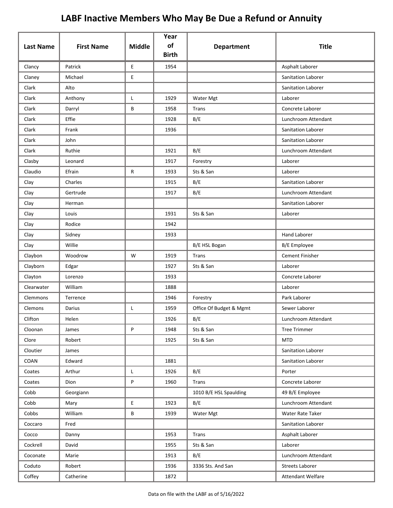| <b>Last Name</b> | <b>First Name</b> | <b>Middle</b>                              | Year<br>of<br><b>Birth</b> | <b>Department</b>       | <b>Title</b>           |
|------------------|-------------------|--------------------------------------------|----------------------------|-------------------------|------------------------|
| Clancy           | Patrick           | E                                          | 1954                       |                         | Asphalt Laborer        |
| Claney           | Michael           | E                                          |                            |                         | Sanitation Laborer     |
| Clark            | Alto              |                                            |                            |                         | Sanitation Laborer     |
| Clark            | Anthony           | L                                          | 1929                       | Water Mgt               | Laborer                |
| Clark            | Darryl            | B                                          | 1958                       | <b>Trans</b>            | Concrete Laborer       |
| Clark            | Effie             |                                            | 1928                       | B/E                     | Lunchroom Attendant    |
| Clark            | Frank             |                                            | 1936                       |                         | Sanitation Laborer     |
| Clark            | John              |                                            |                            |                         | Sanitation Laborer     |
| Clark            | Ruthie            |                                            | 1921                       | B/E                     | Lunchroom Attendant    |
| Clasby           | Leonard           |                                            | 1917                       | Forestry                | Laborer                |
| Claudio          | Efrain            | R                                          | 1933                       | Sts & San               | Laborer                |
| Clay             | Charles           |                                            | 1915                       | B/E                     | Sanitation Laborer     |
| Clay             | Gertrude          |                                            | 1917                       | B/E                     | Lunchroom Attendant    |
| Clay             | Herman            |                                            |                            |                         | Sanitation Laborer     |
| Clay             | Louis             |                                            | 1931                       | Sts & San               | Laborer                |
| Clay             | Rodice            |                                            | 1942                       |                         |                        |
| Clay             | Sidney            |                                            | 1933                       |                         | <b>Hand Laborer</b>    |
| Clay             | Willie            |                                            |                            | B/E HSL Bogan           | <b>B/E</b> Employee    |
| Claybon          | Woodrow           | W                                          | 1919                       | Trans                   | <b>Cement Finisher</b> |
| Clayborn         | Edgar             |                                            | 1927                       | Sts & San               | Laborer                |
| Clayton          | Lorenzo           |                                            | 1933                       |                         | Concrete Laborer       |
| Clearwater       | William           |                                            | 1888                       |                         | Laborer                |
| Clemmons         | Terrence          |                                            | 1946                       | Forestry                | Park Laborer           |
| Clemons          | Darius            | L                                          | 1959                       | Office Of Budget & Mgmt | Sewer Laborer          |
| Clifton          | Helen             |                                            | 1926                       | B/E                     | Lunchroom Attendant    |
| Cloonan          | James             | P                                          | 1948                       | Sts & San               | <b>Tree Trimmer</b>    |
| Clore            | Robert            |                                            | 1925                       | Sts & San               | <b>MTD</b>             |
| Cloutier         | James             |                                            |                            |                         | Sanitation Laborer     |
| COAN             | Edward            |                                            | 1881                       |                         | Sanitation Laborer     |
| Coates           | Arthur            | L                                          | 1926                       | B/E                     | Porter                 |
| Coates           | Dion              | P                                          | 1960                       | <b>Trans</b>            | Concrete Laborer       |
| Cobb             | Georgiann         |                                            |                            | 1010 B/E HSL Spaulding  | 49 B/E Employee        |
| Cobb             | Mary              | $\mathsf{E}% _{0}\left( \mathsf{E}\right)$ | 1923                       | B/E                     | Lunchroom Attendant    |
| Cobbs            | William           | B                                          | 1939                       | Water Mgt               | Water Rate Taker       |
| Coccaro          | Fred              |                                            |                            |                         | Sanitation Laborer     |
| Cocco            | Danny             |                                            | 1953                       | Trans                   | Asphalt Laborer        |
| Cockrell         | David             |                                            | 1955                       | Sts & San               | Laborer                |
| Coconate         | Marie             |                                            | 1913                       | B/E                     | Lunchroom Attendant    |
| Coduto           | Robert            |                                            | 1936                       | 3336 Sts. And San       | <b>Streets Laborer</b> |
| Coffey           | Catherine         |                                            | 1872                       |                         | Attendant Welfare      |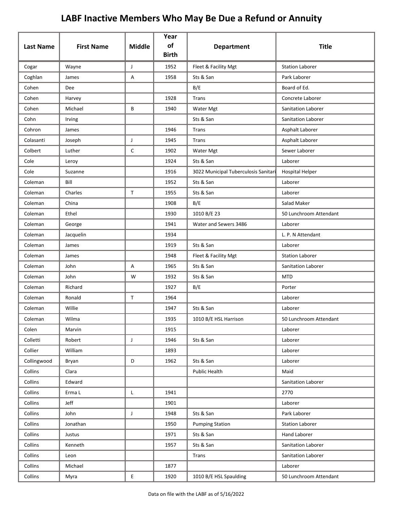| <b>Last Name</b> | <b>First Name</b> | <b>Middle</b> | Year<br>of   | <b>Department</b>                    | <b>Title</b>              |
|------------------|-------------------|---------------|--------------|--------------------------------------|---------------------------|
|                  |                   |               | <b>Birth</b> |                                      |                           |
| Cogar            | Wayne             | J             | 1952         | Fleet & Facility Mgt                 | <b>Station Laborer</b>    |
| Coghlan          | James             | Α             | 1958         | Sts & San                            | Park Laborer              |
| Cohen            | Dee               |               |              | B/E                                  | Board of Ed.              |
| Cohen            | Harvey            |               | 1928         | Trans                                | Concrete Laborer          |
| Cohen            | Michael           | B             | 1940         | Water Mgt                            | <b>Sanitation Laborer</b> |
| Cohn             | Irving            |               |              | Sts & San                            | <b>Sanitation Laborer</b> |
| Cohron           | James             |               | 1946         | Trans                                | Asphalt Laborer           |
| Colasanti        | Joseph            | J             | 1945         | Trans                                | Asphalt Laborer           |
| Colbert          | Luther            | $\mathsf{C}$  | 1902         | Water Mgt                            | Sewer Laborer             |
| Cole             | Leroy             |               | 1924         | Sts & San                            | Laborer                   |
| Cole             | Suzanne           |               | 1916         | 3022 Municipal Tuberculosis Sanitari | <b>Hospital Helper</b>    |
| Coleman          | Bill              |               | 1952         | Sts & San                            | Laborer                   |
| Coleman          | Charles           | T.            | 1955         | Sts & San                            | Laborer                   |
| Coleman          | China             |               | 1908         | B/E                                  | Salad Maker               |
| Coleman          | Ethel             |               | 1930         | 1010 B/E 23                          | 50 Lunchroom Attendant    |
| Coleman          | George            |               | 1941         | Water and Sewers 3486                | Laborer                   |
| Coleman          | Jacquelin         |               | 1934         |                                      | L. P. N Attendant         |
| Coleman          | James             |               | 1919         | Sts & San                            | Laborer                   |
| Coleman          | James             |               | 1948         | Fleet & Facility Mgt                 | <b>Station Laborer</b>    |
| Coleman          | John              | Α             | 1965         | Sts & San                            | Sanitation Laborer        |
| Coleman          | John              | W             | 1932         | Sts & San                            | <b>MTD</b>                |
| Coleman          | Richard           |               | 1927         | B/E                                  | Porter                    |
| Coleman          | Ronald            | T             | 1964         |                                      | Laborer                   |
| Coleman          | Willie            |               | 1947         | Sts & San                            | Laborer                   |
| Coleman          | Wilma             |               | 1935         | 1010 B/E HSL Harrison                | 50 Lunchroom Attendant    |
| Colen            | Marvin            |               | 1915         |                                      | Laborer                   |
| Colletti         | Robert            | J             | 1946         | Sts & San                            | Laborer                   |
| Collier          | William           |               | 1893         |                                      | Laborer                   |
| Collingwood      | Bryan             | D             | 1962         | Sts & San                            | Laborer                   |
| Collins          | Clara             |               |              | <b>Public Health</b>                 | Maid                      |
| Collins          | Edward            |               |              |                                      | Sanitation Laborer        |
| Collins          | Erma L            | L             | 1941         |                                      | 2770                      |
| Collins          | Jeff              |               | 1901         |                                      | Laborer                   |
| Collins          | John              | J             | 1948         | Sts & San                            | Park Laborer              |
| Collins          | Jonathan          |               | 1950         | <b>Pumping Station</b>               | <b>Station Laborer</b>    |
| Collins          | Justus            |               | 1971         | Sts & San                            | Hand Laborer              |
| Collins          | Kenneth           |               | 1957         | Sts & San                            | Sanitation Laborer        |
| Collins          | Leon              |               |              | Trans                                | Sanitation Laborer        |
| Collins          | Michael           |               | 1877         |                                      | Laborer                   |
| Collins          | Myra              | E             | 1920         | 1010 B/E HSL Spaulding               | 50 Lunchroom Attendant    |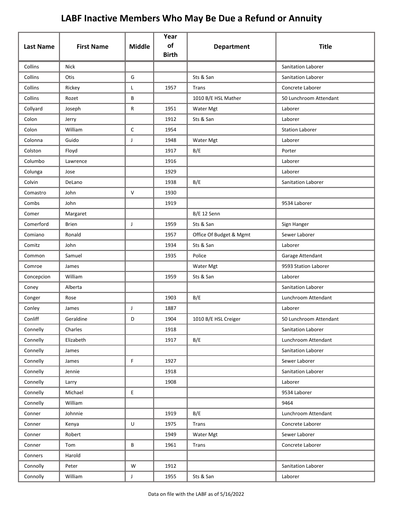|                  |                   |               | Year<br>of   |                         |                           |
|------------------|-------------------|---------------|--------------|-------------------------|---------------------------|
| <b>Last Name</b> | <b>First Name</b> | <b>Middle</b> | <b>Birth</b> | <b>Department</b>       | <b>Title</b>              |
| Collins          | <b>Nick</b>       |               |              |                         | <b>Sanitation Laborer</b> |
| Collins          | Otis              | G             |              | Sts & San               | <b>Sanitation Laborer</b> |
| Collins          | Rickey            | Г             | 1957         | Trans                   | Concrete Laborer          |
| Collins          | Rozet             | B             |              | 1010 B/E HSL Mather     | 50 Lunchroom Attendant    |
| Collyard         | Joseph            | R             | 1951         | Water Mgt               | Laborer                   |
| Colon            | Jerry             |               | 1912         | Sts & San               | Laborer                   |
| Colon            | William           | С             | 1954         |                         | <b>Station Laborer</b>    |
| Colonna          | Guido             | J             | 1948         | Water Mgt               | Laborer                   |
| Colston          | Floyd             |               | 1917         | B/E                     | Porter                    |
| Columbo          | Lawrence          |               | 1916         |                         | Laborer                   |
| Colunga          | Jose              |               | 1929         |                         | Laborer                   |
| Colvin           | DeLano            |               | 1938         | B/E                     | Sanitation Laborer        |
| Comastro         | John              | V             | 1930         |                         |                           |
| Combs            | John              |               | 1919         |                         | 9534 Laborer              |
| Comer            | Margaret          |               |              | B/E 12 Senn             |                           |
| Comerford        | <b>Brien</b>      | J             | 1959         | Sts & San               | Sign Hanger               |
| Comiano          | Ronald            |               | 1957         | Office Of Budget & Mgmt | Sewer Laborer             |
| Comitz           | John              |               | 1934         | Sts & San               | Laborer                   |
| Common           | Samuel            |               | 1935         | Police                  | Garage Attendant          |
| Comroe           | James             |               |              | Water Mgt               | 9593 Station Laborer      |
| Concepcion       | William           |               | 1959         | Sts & San               | Laborer                   |
| Coney            | Alberta           |               |              |                         | Sanitation Laborer        |
| Conger           | Rose              |               | 1903         | B/E                     | Lunchroom Attendant       |
| Conley           | James             | J             | 1887         |                         | Laborer                   |
| Conliff          | Geraldine         | D             | 1904         | 1010 B/E HSL Creiger    | 50 Lunchroom Attendant    |
| Connelly         | Charles           |               | 1918         |                         | Sanitation Laborer        |
| Connelly         | Elizabeth         |               | 1917         | B/E                     | Lunchroom Attendant       |
| Connelly         | James             |               |              |                         | Sanitation Laborer        |
| Connelly         | James             | F             | 1927         |                         | Sewer Laborer             |
| Connelly         | Jennie            |               | 1918         |                         | Sanitation Laborer        |
| Connelly         | Larry             |               | 1908         |                         | Laborer                   |
| Connelly         | Michael           | E.            |              |                         | 9534 Laborer              |
| Connelly         | William           |               |              |                         | 9464                      |
| Conner           | Johnnie           |               | 1919         | B/E                     | Lunchroom Attendant       |
| Conner           | Kenya             | U             | 1975         | Trans                   | Concrete Laborer          |
| Conner           | Robert            |               | 1949         | Water Mgt               | Sewer Laborer             |
| Conner           | Tom               | В             | 1961         | Trans                   | Concrete Laborer          |
| Conners          | Harold            |               |              |                         |                           |
| Connolly         | Peter             | W             | 1912         |                         | Sanitation Laborer        |
| Connolly         | William           | J             | 1955         | Sts & San               | Laborer                   |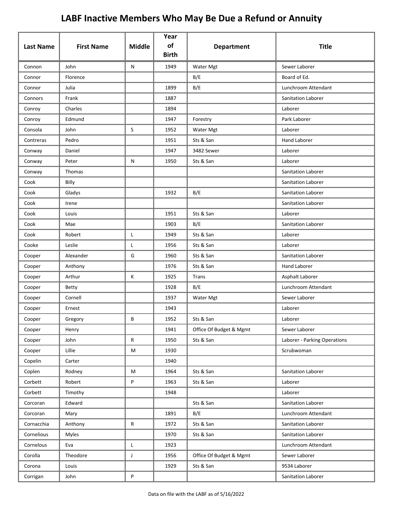| <b>Last Name</b> | <b>First Name</b> | <b>Middle</b> | Year<br>of<br><b>Birth</b> | <b>Department</b>       | <b>Title</b>                 |
|------------------|-------------------|---------------|----------------------------|-------------------------|------------------------------|
| Connon           | John              | N             | 1949                       | Water Mgt               | Sewer Laborer                |
| Connor           | Florence          |               |                            | B/E                     | Board of Ed.                 |
| Connor           | Julia             |               | 1899                       | B/E                     | Lunchroom Attendant          |
| Connors          | Frank             |               | 1887                       |                         | <b>Sanitation Laborer</b>    |
| Conroy           | Charles           |               | 1894                       |                         | Laborer                      |
| Conroy           | Edmund            |               | 1947                       | Forestry                | Park Laborer                 |
| Consola          | John              | S             | 1952                       | Water Mgt               | Laborer                      |
| Contreras        | Pedro             |               | 1951                       | Sts & San               | <b>Hand Laborer</b>          |
| Conway           | Daniel            |               | 1947                       | 3482 Sewer              | Laborer                      |
| Conway           | Peter             | N             | 1950                       | Sts & San               | Laborer                      |
| Conway           | Thomas            |               |                            |                         | Sanitation Laborer           |
| Cook             | Billy             |               |                            |                         | Sanitation Laborer           |
| Cook             | Gladys            |               | 1932                       | B/E                     | Sanitation Laborer           |
| Cook             | Irene             |               |                            |                         | Sanitation Laborer           |
| Cook             | Louis             |               | 1951                       | Sts & San               | Laborer                      |
| Cook             | Mae               |               | 1903                       | B/E                     | Sanitation Laborer           |
| Cook             | Robert            | L             | 1949                       | Sts & San               | Laborer                      |
| Cooke            | Leslie            | L             | 1956                       | Sts & San               | Laborer                      |
| Cooper           | Alexander         | G             | 1960                       | Sts & San               | Sanitation Laborer           |
| Cooper           | Anthony           |               | 1976                       | Sts & San               | <b>Hand Laborer</b>          |
| Cooper           | Arthur            | К             | 1925                       | Trans                   | Asphalt Laborer              |
| Cooper           | Betty             |               | 1928                       | B/E                     | Lunchroom Attendant          |
| Cooper           | Cornell           |               | 1937                       | Water Mgt               | Sewer Laborer                |
| Cooper           | Ernest            |               | 1943                       |                         | Laborer                      |
| Cooper           | Gregory           | В             | 1952                       | Sts & San               | Laborer                      |
| Cooper           | Henry             |               | 1941                       | Office Of Budget & Mgmt | Sewer Laborer                |
| Cooper           | John              | ${\sf R}$     | 1950                       | Sts & San               | Laborer - Parking Operations |
| Cooper           | Lillie            | M             | 1930                       |                         | Scrubwoman                   |
| Copelin          | Carter            |               | 1940                       |                         |                              |
| Coplen           | Rodney            | M             | 1964                       | Sts & San               | Sanitation Laborer           |
| Corbett          | Robert            | P             | 1963                       | Sts & San               | Laborer                      |
| Corbett          | Timothy           |               | 1948                       |                         | Laborer                      |
| Corcoran         | Edward            |               |                            | Sts & San               | Sanitation Laborer           |
| Corcoran         | Mary              |               | 1891                       | B/E                     | Lunchroom Attendant          |
| Cornacchia       | Anthony           | R             | 1972                       | Sts & San               | Sanitation Laborer           |
| Cornelious       | Myles             |               | 1970                       | Sts & San               | Sanitation Laborer           |
| Cornelous        | Eva               | L             | 1923                       |                         | Lunchroom Attendant          |
| Corolla          | Theodore          | $\mathsf{J}$  | 1956                       | Office Of Budget & Mgmt | Sewer Laborer                |
| Corona           | Louis             |               | 1929                       | Sts & San               | 9534 Laborer                 |
| Corrigan         | John              | P             |                            |                         | Sanitation Laborer           |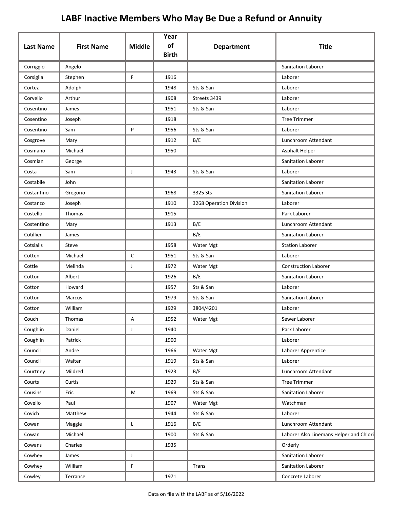|                  |                   |               | Year               |                         |                                         |
|------------------|-------------------|---------------|--------------------|-------------------------|-----------------------------------------|
| <b>Last Name</b> | <b>First Name</b> | <b>Middle</b> | of<br><b>Birth</b> | <b>Department</b>       | <b>Title</b>                            |
| Corriggio        | Angelo            |               |                    |                         | <b>Sanitation Laborer</b>               |
| Corsiglia        | Stephen           | F             | 1916               |                         | Laborer                                 |
| Cortez           | Adolph            |               | 1948               | Sts & San               | Laborer                                 |
| Corvello         | Arthur            |               | 1908               | Streets 3439            | Laborer                                 |
| Cosentino        | James             |               | 1951               | Sts & San               | Laborer                                 |
| Cosentino        | Joseph            |               | 1918               |                         | <b>Tree Trimmer</b>                     |
| Cosentino        | Sam               | P             | 1956               | Sts & San               | Laborer                                 |
| Cosgrove         | Mary              |               | 1912               | B/E                     | Lunchroom Attendant                     |
| Cosmano          | Michael           |               | 1950               |                         | Asphalt Helper                          |
| Cosmian          | George            |               |                    |                         | <b>Sanitation Laborer</b>               |
| Costa            | Sam               | J             | 1943               | Sts & San               | Laborer                                 |
| Costabile        | John              |               |                    |                         | Sanitation Laborer                      |
| Costantino       | Gregorio          |               | 1968               | 3325 Sts                | <b>Sanitation Laborer</b>               |
| Costanzo         | Joseph            |               | 1910               | 3268 Operation Division | Laborer                                 |
| Costello         | Thomas            |               | 1915               |                         | Park Laborer                            |
| Costentino       | Mary              |               | 1913               | B/E                     | Lunchroom Attendant                     |
| Cotillier        | James             |               |                    | B/E                     | <b>Sanitation Laborer</b>               |
| Cotsialis        | Steve             |               | 1958               | Water Mgt               | <b>Station Laborer</b>                  |
| Cotten           | Michael           | C             | 1951               | Sts & San               | Laborer                                 |
| Cottle           | Melinda           | J             | 1972               | Water Mgt               | <b>Construction Laborer</b>             |
| Cotton           | Albert            |               | 1926               | B/E                     | <b>Sanitation Laborer</b>               |
| Cotton           | Howard            |               | 1957               | Sts & San               | Laborer                                 |
| Cotton           | Marcus            |               | 1979               | Sts & San               | <b>Sanitation Laborer</b>               |
| Cotton           | William           |               | 1929               | 3804/4201               | Laborer                                 |
| Couch            | Thomas            | А             | 1952               | Water Mgt               | Sewer Laborer                           |
| Coughlin         | Daniel            | $\mathsf J$   | 1940               |                         | Park Laborer                            |
| Coughlin         | Patrick           |               | 1900               |                         | Laborer                                 |
| Council          | Andre             |               | 1966               | Water Mgt               | Laborer Apprentice                      |
| Council          | Walter            |               | 1919               | Sts & San               | Laborer                                 |
| Courtney         | Mildred           |               | 1923               | B/E                     | Lunchroom Attendant                     |
| Courts           | Curtis            |               | 1929               | Sts & San               | <b>Tree Trimmer</b>                     |
| Cousins          | Eric              | M             | 1969               | Sts & San               | Sanitation Laborer                      |
| Covello          | Paul              |               | 1907               | Water Mgt               | Watchman                                |
| Covich           | Matthew           |               | 1944               | Sts & San               | Laborer                                 |
| Cowan            | Maggie            | $\mathsf{L}$  | 1916               | B/E                     | Lunchroom Attendant                     |
| Cowan            | Michael           |               | 1900               | Sts & San               | Laborer Also Linemans Helper and Chlori |
| Cowans           | Charles           |               | 1935               |                         | Orderly                                 |
| Cowhey           | James             | $\mathsf J$   |                    |                         | Sanitation Laborer                      |
| Cowhey           | William           | F             |                    | Trans                   | Sanitation Laborer                      |
| Cowley           | Terrance          |               | 1971               |                         | Concrete Laborer                        |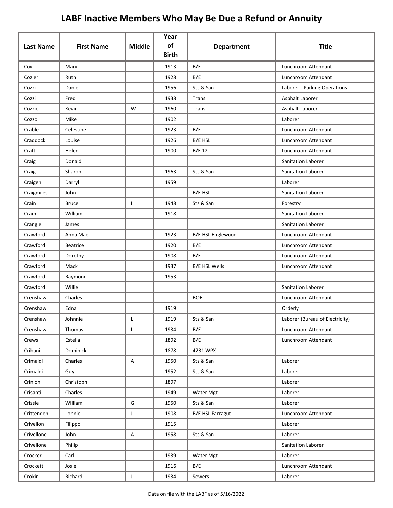| <b>Last Name</b> | <b>First Name</b> | <b>Middle</b> | Year<br>of   | <b>Department</b>       | <b>Title</b>                    |
|------------------|-------------------|---------------|--------------|-------------------------|---------------------------------|
|                  |                   |               | <b>Birth</b> |                         |                                 |
| Cox              | Mary              |               | 1913         | B/E                     | Lunchroom Attendant             |
| Cozier           | Ruth              |               | 1928         | B/E                     | Lunchroom Attendant             |
| Cozzi            | Daniel            |               | 1956         | Sts & San               | Laborer - Parking Operations    |
| Cozzi            | Fred              |               | 1938         | Trans                   | Asphalt Laborer                 |
| Cozzie           | Kevin             | W             | 1960         | Trans                   | Asphalt Laborer                 |
| Cozzo            | Mike              |               | 1902         |                         | Laborer                         |
| Crable           | Celestine         |               | 1923         | B/E                     | Lunchroom Attendant             |
| Craddock         | Louise            |               | 1926         | B/E HSL                 | Lunchroom Attendant             |
| Craft            | Helen             |               | 1900         | <b>B/E 12</b>           | Lunchroom Attendant             |
| Craig            | Donald            |               |              |                         | Sanitation Laborer              |
| Craig            | Sharon            |               | 1963         | Sts & San               | Sanitation Laborer              |
| Craigen          | Darryl            |               | 1959         |                         | Laborer                         |
| Craigmiles       | John              |               |              | B/E HSL                 | <b>Sanitation Laborer</b>       |
| Crain            | <b>Bruce</b>      | L             | 1948         | Sts & San               | Forestry                        |
| Cram             | William           |               | 1918         |                         | Sanitation Laborer              |
| Crangle          | James             |               |              |                         | Sanitation Laborer              |
| Crawford         | Anna Mae          |               | 1923         | B/E HSL Englewood       | Lunchroom Attendant             |
| Crawford         | <b>Beatrice</b>   |               | 1920         | B/E                     | Lunchroom Attendant             |
| Crawford         | Dorothy           |               | 1908         | B/E                     | Lunchroom Attendant             |
| Crawford         | Mack              |               | 1937         | <b>B/E HSL Wells</b>    | Lunchroom Attendant             |
| Crawford         | Raymond           |               | 1953         |                         |                                 |
| Crawford         | Willie            |               |              |                         | Sanitation Laborer              |
| Crenshaw         | Charles           |               |              | <b>BOE</b>              | Lunchroom Attendant             |
| Crenshaw         | Edna              |               | 1919         |                         | Orderly                         |
| Crenshaw         | Johnnie           |               | 1919         | Sts & San               | Laborer (Bureau of Electricity) |
| Crenshaw         | Thomas            | L             | 1934         | B/E                     | Lunchroom Attendant             |
| Crews            | Estella           |               | 1892         | B/E                     | Lunchroom Attendant             |
| Cribani          | Dominick          |               | 1878         | 4231 WPX                |                                 |
| Crimaldi         | Charles           | A             | 1950         | Sts & San               | Laborer                         |
| Crimaldi         | Guy               |               | 1952         | Sts & San               | Laborer                         |
| Crinion          | Christoph         |               | 1897         |                         | Laborer                         |
| Crisanti         | Charles           |               | 1949         | Water Mgt               | Laborer                         |
| Crissie          | William           | G             | 1950         | Sts & San               | Laborer                         |
| Crittenden       | Lonnie            | J             | 1908         | <b>B/E HSL Farragut</b> | Lunchroom Attendant             |
| Crivellon        | Filippo           |               | 1915         |                         | Laborer                         |
| Crivellone       | John              | A             | 1958         | Sts & San               | Laborer                         |
| Crivellone       | Philip            |               |              |                         | Sanitation Laborer              |
| Crocker          | Carl              |               | 1939         | Water Mgt               | Laborer                         |
| Crockett         | Josie             |               | 1916         | B/E                     | Lunchroom Attendant             |
| Crokin           | Richard           | $\mathsf{J}$  | 1934         | Sewers                  | Laborer                         |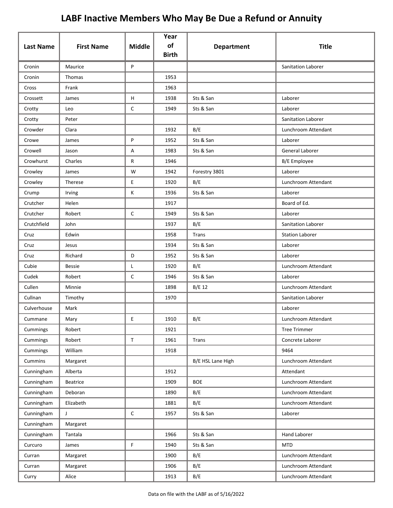| <b>Last Name</b> | <b>First Name</b> | <b>Middle</b> | Year<br>of   | <b>Department</b> | <b>Title</b>              |
|------------------|-------------------|---------------|--------------|-------------------|---------------------------|
|                  |                   |               | <b>Birth</b> |                   |                           |
| Cronin           | Maurice           | P             |              |                   | <b>Sanitation Laborer</b> |
| Cronin           | Thomas            |               | 1953         |                   |                           |
| Cross            | Frank             |               | 1963         |                   |                           |
| Crossett         | James             | H             | 1938         | Sts & San         | Laborer                   |
| Crotty           | Leo               | $\mathsf{C}$  | 1949         | Sts & San         | Laborer                   |
| Crotty           | Peter             |               |              |                   | Sanitation Laborer        |
| Crowder          | Clara             |               | 1932         | B/E               | Lunchroom Attendant       |
| Crowe            | James             | P             | 1952         | Sts & San         | Laborer                   |
| Crowell          | Jason             | Α             | 1983         | Sts & San         | General Laborer           |
| Crowhurst        | Charles           | R             | 1946         |                   | B/E Employee              |
| Crowley          | James             | W             | 1942         | Forestry 3801     | Laborer                   |
| Crowley          | Therese           | E             | 1920         | B/E               | Lunchroom Attendant       |
| Crump            | Irving            | К             | 1936         | Sts & San         | Laborer                   |
| Crutcher         | Helen             |               | 1917         |                   | Board of Ed.              |
| Crutcher         | Robert            | $\mathsf{C}$  | 1949         | Sts & San         | Laborer                   |
| Crutchfield      | John              |               | 1937         | B/E               | Sanitation Laborer        |
| Cruz             | Edwin             |               | 1958         | <b>Trans</b>      | <b>Station Laborer</b>    |
| Cruz             | Jesus             |               | 1934         | Sts & San         | Laborer                   |
| Cruz             | Richard           | D             | 1952         | Sts & San         | Laborer                   |
| Cubie            | <b>Bessie</b>     | Г             | 1920         | B/E               | Lunchroom Attendant       |
| Cudek            | Robert            | $\mathsf{C}$  | 1946         | Sts & San         | Laborer                   |
| Cullen           | Minnie            |               | 1898         | B/E 12            | Lunchroom Attendant       |
| Cullnan          | Timothy           |               | 1970         |                   | <b>Sanitation Laborer</b> |
| Culverhouse      | Mark              |               |              |                   | Laborer                   |
| Cummane          | Mary              | E             | 1910         | B/E               | Lunchroom Attendant       |
| Cummings         | Robert            |               | 1921         |                   | <b>Tree Trimmer</b>       |
| Cummings         | Robert            | $\mathsf T$   | 1961         | <b>Trans</b>      | Concrete Laborer          |
| Cummings         | William           |               | 1918         |                   | 9464                      |
| Cummins          | Margaret          |               |              | B/E HSL Lane High | Lunchroom Attendant       |
| Cunningham       | Alberta           |               | 1912         |                   | Attendant                 |
| Cunningham       | Beatrice          |               | 1909         | <b>BOE</b>        | Lunchroom Attendant       |
| Cunningham       | Deboran           |               | 1890         | B/E               | Lunchroom Attendant       |
| Cunningham       | Elizabeth         |               | 1881         | B/E               | Lunchroom Attendant       |
| Cunningham       | J                 | $\mathsf C$   | 1957         | Sts & San         | Laborer                   |
| Cunningham       | Margaret          |               |              |                   |                           |
| Cunningham       | Tantala           |               | 1966         | Sts & San         | Hand Laborer              |
| Curcuro          | James             | F             | 1940         | Sts & San         | <b>MTD</b>                |
| Curran           | Margaret          |               | 1900         | B/E               | Lunchroom Attendant       |
| Curran           | Margaret          |               | 1906         | B/E               | Lunchroom Attendant       |
| Curry            | Alice             |               | 1913         | B/E               | Lunchroom Attendant       |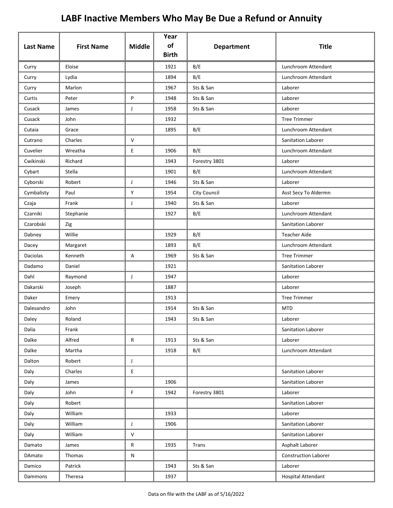|                  |                   |               | Year               |                   |                             |
|------------------|-------------------|---------------|--------------------|-------------------|-----------------------------|
| <b>Last Name</b> | <b>First Name</b> | <b>Middle</b> | of<br><b>Birth</b> | <b>Department</b> | <b>Title</b>                |
| Curry            | Eloise            |               | 1921               | B/E               | Lunchroom Attendant         |
| Curry            | Lydia             |               | 1894               | B/E               | Lunchroom Attendant         |
| Curry            | Marlon            |               | 1967               | Sts & San         | Laborer                     |
| Curtis           | Peter             | P             | 1948               | Sts & San         | Laborer                     |
| Cusack           | James             | J             | 1958               | Sts & San         | Laborer                     |
| Cusack           | John              |               | 1932               |                   | <b>Tree Trimmer</b>         |
| Cutaia           | Grace             |               | 1895               | B/E               | Lunchroom Attendant         |
| Cutrano          | Charles           | $\mathsf{V}$  |                    |                   | Sanitation Laborer          |
| Cuvelier         | Wreatha           | E             | 1906               | B/E               | Lunchroom Attendant         |
| Cwikinski        | Richard           |               | 1943               | Forestry 3801     | Laborer                     |
| Cybart           | Stella            |               | 1901               | B/E               | Lunchroom Attendant         |
| Cyborski         | Robert            | J             | 1946               | Sts & San         | Laborer                     |
| Cymbalisty       | Paul              | Y             | 1954               | City Council      | Asst Secy To Aldermn        |
| Czaja            | Frank             | J             | 1940               | Sts & San         | Laborer                     |
| Czarniki         | Stephanie         |               | 1927               | B/E               | Lunchroom Attendant         |
| Czarobski        | Zig               |               |                    |                   | Sanitation Laborer          |
| Dabney           | Willie            |               | 1929               | B/E               | <b>Teacher Aide</b>         |
| Dacey            | Margaret          |               | 1893               | B/E               | Lunchroom Attendant         |
| Daciolas         | Kenneth           | Α             | 1969               | Sts & San         | <b>Tree Trimmer</b>         |
| Dadamo           | Daniel            |               | 1921               |                   | Sanitation Laborer          |
| Dahl             | Raymond           | J             | 1947               |                   | Laborer                     |
| Dakarski         | Joseph            |               | 1887               |                   | Laborer                     |
| Daker            | Emery             |               | 1913               |                   | <b>Tree Trimmer</b>         |
| Dalesandro       | John              |               | 1914               | Sts & San         | <b>MTD</b>                  |
| Daley            | Roland            |               | 1943               | Sts & San         | Laborer                     |
| Dalia            | Frank             |               |                    |                   | Sanitation Laborer          |
| Dalke            | Alfred            | ${\sf R}$     | 1913               | Sts & San         | Laborer                     |
| Dalke            | Martha            |               | 1918               | B/E               | Lunchroom Attendant         |
| Dalton           | Robert            | J             |                    |                   |                             |
| Daly             | Charles           | E             |                    |                   | Sanitation Laborer          |
| Daly             | James             |               | 1906               |                   | Sanitation Laborer          |
| Daly             | John              | $\mathsf F$   | 1942               | Forestry 3801     | Laborer                     |
| Daly             | Robert            |               |                    |                   | Sanitation Laborer          |
| Daly             | William           |               | 1933               |                   | Laborer                     |
| Daly             | William           | J             | 1906               |                   | Sanitation Laborer          |
| Daly             | William           | $\mathsf{V}$  |                    |                   | Sanitation Laborer          |
| Damato           | James             | ${\sf R}$     | 1935               | Trans             | Asphalt Laborer             |
| DAmato           | Thomas            | ${\sf N}$     |                    |                   | <b>Construction Laborer</b> |
| Damico           | Patrick           |               | 1943               | Sts & San         | Laborer                     |
| Dammons          | Theresa           |               | 1937               |                   | <b>Hospital Attendant</b>   |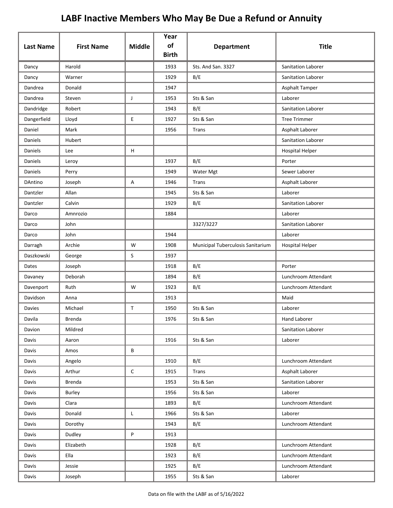| <b>Last Name</b> | <b>First Name</b> | <b>Middle</b> | Year<br>of<br><b>Birth</b> | <b>Department</b>                 | <b>Title</b>           |
|------------------|-------------------|---------------|----------------------------|-----------------------------------|------------------------|
| Dancy            | Harold            |               | 1933                       | Sts. And San. 3327                | Sanitation Laborer     |
| Dancy            | Warner            |               | 1929                       | B/E                               | Sanitation Laborer     |
| Dandrea          | Donald            |               | 1947                       |                                   | Asphalt Tamper         |
| Dandrea          | Steven            | J             | 1953                       | Sts & San                         | Laborer                |
| Dandridge        | Robert            |               | 1943                       | B/E                               | Sanitation Laborer     |
| Dangerfield      | Lloyd             | E             | 1927                       | Sts & San                         | <b>Tree Trimmer</b>    |
| Daniel           | Mark              |               | 1956                       | Trans                             | Asphalt Laborer        |
| Daniels          | Hubert            |               |                            |                                   | Sanitation Laborer     |
| Daniels          | Lee               | H             |                            |                                   | <b>Hospital Helper</b> |
| <b>Daniels</b>   | Leroy             |               | 1937                       | B/E                               | Porter                 |
| Daniels          | Perry             |               | 1949                       | Water Mgt                         | Sewer Laborer          |
| DAntino          | Joseph            | Α             | 1946                       | Trans                             | Asphalt Laborer        |
| Dantzler         | Allan             |               | 1945                       | Sts & San                         | Laborer                |
| Dantzler         | Calvin            |               | 1929                       | B/E                               | Sanitation Laborer     |
| Darco            | Amnrozio          |               | 1884                       |                                   | Laborer                |
| Darco            | John              |               |                            | 3327/3227                         | Sanitation Laborer     |
| Darco            | John              |               | 1944                       |                                   | Laborer                |
| Darragh          | Archie            | W             | 1908                       | Municipal Tuberculosis Sanitarium | <b>Hospital Helper</b> |
| Daszkowski       | George            | S             | 1937                       |                                   |                        |
| Dates            | Joseph            |               | 1918                       | B/E                               | Porter                 |
| Davaney          | Deborah           |               | 1894                       | B/E                               | Lunchroom Attendant    |
| Davenport        | Ruth              | W             | 1923                       | B/E                               | Lunchroom Attendant    |
| Davidson         | Anna              |               | 1913                       |                                   | Maid                   |
| Davies           | Michael           | $\mathsf{T}$  | 1950                       | Sts & San                         | Laborer                |
| Davila           | Brenda            |               | 1976                       | Sts & San                         | Hand Laborer           |
| Davion           | Mildred           |               |                            |                                   | Sanitation Laborer     |
| Davis            | Aaron             |               | 1916                       | Sts & San                         | Laborer                |
| Davis            | Amos              | В             |                            |                                   |                        |
| Davis            | Angelo            |               | 1910                       | B/E                               | Lunchroom Attendant    |
| Davis            | Arthur            | $\mathsf C$   | 1915                       | Trans                             | Asphalt Laborer        |
| Davis            | <b>Brenda</b>     |               | 1953                       | Sts & San                         | Sanitation Laborer     |
| Davis            | Burley            |               | 1956                       | Sts & San                         | Laborer                |
| Davis            | Clara             |               | 1893                       | B/E                               | Lunchroom Attendant    |
| Davis            | Donald            | L             | 1966                       | Sts & San                         | Laborer                |
| Davis            | Dorothy           |               | 1943                       | B/E                               | Lunchroom Attendant    |
| Davis            | Dudley            | P             | 1913                       |                                   |                        |
| Davis            | Elizabeth         |               | 1928                       | B/E                               | Lunchroom Attendant    |
| Davis            | Ella              |               | 1923                       | B/E                               | Lunchroom Attendant    |
| Davis            | Jessie            |               | 1925                       | B/E                               | Lunchroom Attendant    |
| Davis            | Joseph            |               | 1955                       | Sts & San                         | Laborer                |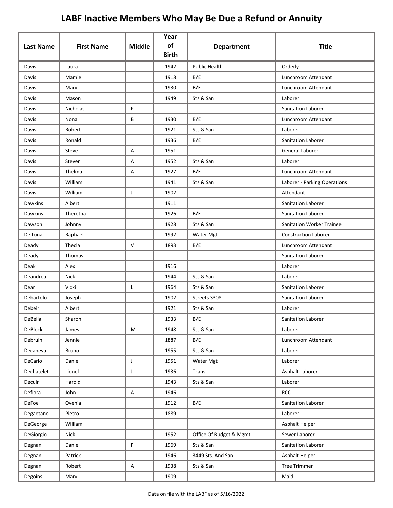| <b>Last Name</b> | <b>First Name</b> | <b>Middle</b> | Year<br>of<br><b>Birth</b> | <b>Department</b>       | <b>Title</b>                     |
|------------------|-------------------|---------------|----------------------------|-------------------------|----------------------------------|
| Davis            | Laura             |               | 1942                       | <b>Public Health</b>    | Orderly                          |
| Davis            | Mamie             |               | 1918                       | B/E                     | Lunchroom Attendant              |
| Davis            | Mary              |               | 1930                       | B/E                     | Lunchroom Attendant              |
| Davis            | Mason             |               | 1949                       | Sts & San               | Laborer                          |
| Davis            | Nicholas          | P             |                            |                         | Sanitation Laborer               |
| Davis            | Nona              | В             | 1930                       | B/E                     | Lunchroom Attendant              |
| Davis            | Robert            |               | 1921                       | Sts & San               | Laborer                          |
| Davis            | Ronald            |               | 1936                       | B/E                     | Sanitation Laborer               |
| Davis            | Steve             | Α             | 1951                       |                         | General Laborer                  |
| Davis            | Steven            | Α             | 1952                       | Sts & San               | Laborer                          |
| Davis            | Thelma            | Α             | 1927                       | B/E                     | Lunchroom Attendant              |
| Davis            | William           |               | 1941                       | Sts & San               | Laborer - Parking Operations     |
| Davis            | William           | J             | 1902                       |                         | Attendant                        |
| <b>Dawkins</b>   | Albert            |               | 1911                       |                         | Sanitation Laborer               |
| <b>Dawkins</b>   | Theretha          |               | 1926                       | B/E                     | Sanitation Laborer               |
| Dawson           | Johnny            |               | 1928                       | Sts & San               | <b>Sanitation Worker Trainee</b> |
| De Luna          | Raphael           |               | 1992                       | Water Mgt               | <b>Construction Laborer</b>      |
| Deady            | Thecla            | V             | 1893                       | B/E                     | Lunchroom Attendant              |
| Deady            | Thomas            |               |                            |                         | Sanitation Laborer               |
| Deak             | Alex              |               | 1916                       |                         | Laborer                          |
| Deandrea         | Nick              |               | 1944                       | Sts & San               | Laborer                          |
| Dear             | Vicki             | L             | 1964                       | Sts & San               | Sanitation Laborer               |
| Debartolo        | Joseph            |               | 1902                       | Streets 3308            | Sanitation Laborer               |
| Debeir           | Albert            |               | 1921                       | Sts & San               | Laborer                          |
| DeBella          | Sharon            |               | 1933                       | B/E                     | Sanitation Laborer               |
| <b>DeBlock</b>   | James             | M             | 1948                       | Sts & San               | Laborer                          |
| Debruin          | Jennie            |               | 1887                       | B/E                     | Lunchroom Attendant              |
| Decaneva         | Bruno             |               | 1955                       | Sts & San               | Laborer                          |
| DeCarlo          | Daniel            | J             | 1951                       | Water Mgt               | Laborer                          |
| Dechatelet       | Lionel            | $\mathsf J$   | 1936                       | <b>Trans</b>            | Asphalt Laborer                  |
| Decuir           | Harold            |               | 1943                       | Sts & San               | Laborer                          |
| Defiora          | John              | Α             | 1946                       |                         | <b>RCC</b>                       |
| DeFoe            | Ovenia            |               | 1912                       | B/E                     | Sanitation Laborer               |
| Degaetano        | Pietro            |               | 1889                       |                         | Laborer                          |
| DeGeorge         | William           |               |                            |                         | Asphalt Helper                   |
| DeGiorgio        | Nick              |               | 1952                       | Office Of Budget & Mgmt | Sewer Laborer                    |
| Degnan           | Daniel            | P             | 1969                       | Sts & San               | Sanitation Laborer               |
| Degnan           | Patrick           |               | 1946                       | 3449 Sts. And San       | Asphalt Helper                   |
| Degnan           | Robert            | Α             | 1938                       | Sts & San               | <b>Tree Trimmer</b>              |
| Degoins          | Mary              |               | 1909                       |                         | Maid                             |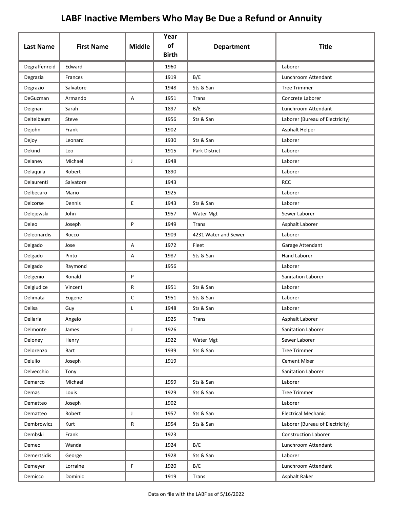| <b>Last Name</b> | <b>First Name</b> | <b>Middle</b> | Year<br>of<br><b>Birth</b> | <b>Department</b>    | <b>Title</b>                    |
|------------------|-------------------|---------------|----------------------------|----------------------|---------------------------------|
| Degraffenreid    | Edward            |               | 1960                       |                      | Laborer                         |
| Degrazia         | Frances           |               | 1919                       | B/E                  | Lunchroom Attendant             |
| Degrazio         | Salvatore         |               | 1948                       | Sts & San            | <b>Tree Trimmer</b>             |
| DeGuzman         | Armando           | А             | 1951                       | Trans                | Concrete Laborer                |
| Deignan          | Sarah             |               | 1897                       | B/E                  | Lunchroom Attendant             |
| Deitelbaum       | Steve             |               | 1956                       | Sts & San            | Laborer (Bureau of Electricity) |
| Dejohn           | Frank             |               | 1902                       |                      | Asphalt Helper                  |
| Dejoy            | Leonard           |               | 1930                       | Sts & San            | Laborer                         |
| Dekind           | Leo               |               | 1915                       | Park District        | Laborer                         |
| Delaney          | Michael           | J             | 1948                       |                      | Laborer                         |
| Delaquila        | Robert            |               | 1890                       |                      | Laborer                         |
| Delaurenti       | Salvatore         |               | 1943                       |                      | <b>RCC</b>                      |
| Delbecaro        | Mario             |               | 1925                       |                      | Laborer                         |
| Delcorse         | Dennis            | E             | 1943                       | Sts & San            | Laborer                         |
| Delejewski       | John              |               | 1957                       | Water Mgt            | Sewer Laborer                   |
| Deleo            | Joseph            | P             | 1949                       | Trans                | Asphalt Laborer                 |
| Deleonardis      | Rocco             |               | 1909                       | 4231 Water and Sewer | Laborer                         |
| Delgado          | Jose              | Α             | 1972                       | Fleet                | Garage Attendant                |
| Delgado          | Pinto             | А             | 1987                       | Sts & San            | <b>Hand Laborer</b>             |
| Delgado          | Raymond           |               | 1956                       |                      | Laborer                         |
| Delgenio         | Ronald            | P             |                            |                      | Sanitation Laborer              |
| Delgiudice       | Vincent           | R             | 1951                       | Sts & San            | Laborer                         |
| Delimata         | Eugene            | $\mathsf C$   | 1951                       | Sts & San            | Laborer                         |
| Delisa           | Guy               | L             | 1948                       | Sts & San            | Laborer                         |
| Dellaria         | Angelo            |               | 1925                       | Trans                | Asphalt Laborer                 |
| Delmonte         | James             | $\mathsf{J}$  | 1926                       |                      | Sanitation Laborer              |
| Deloney          | Henry             |               | 1922                       | Water Mgt            | Sewer Laborer                   |
| Delorenzo        | Bart              |               | 1939                       | Sts & San            | <b>Tree Trimmer</b>             |
| Delulio          | Joseph            |               | 1919                       |                      | <b>Cement Mixer</b>             |
| Delvecchio       | Tony              |               |                            |                      | Sanitation Laborer              |
| Demarco          | Michael           |               | 1959                       | Sts & San            | Laborer                         |
| Demas            | Louis             |               | 1929                       | Sts & San            | <b>Tree Trimmer</b>             |
| Dematteo         | Joseph            |               | 1902                       |                      | Laborer                         |
| Dematteo         | Robert            | J             | 1957                       | Sts & San            | <b>Electrical Mechanic</b>      |
| Dembrowicz       | Kurt              | R             | 1954                       | Sts & San            | Laborer (Bureau of Electricity) |
| Dembski          | Frank             |               | 1923                       |                      | <b>Construction Laborer</b>     |
| Demeo            | Wanda             |               | 1924                       | B/E                  | Lunchroom Attendant             |
| Demertsidis      | George            |               | 1928                       | Sts & San            | Laborer                         |
| Demeyer          | Lorraine          | F             | 1920                       | B/E                  | Lunchroom Attendant             |
| Demicco          | Dominic           |               | 1919                       | Trans                | Asphalt Raker                   |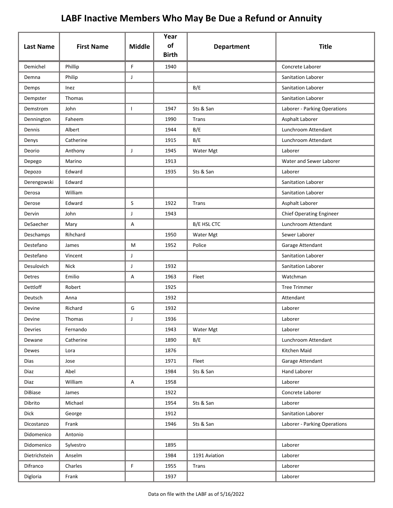| <b>Last Name</b> | <b>First Name</b> | <b>Middle</b> | Year<br>of<br><b>Birth</b> | <b>Department</b> | <b>Title</b>                    |
|------------------|-------------------|---------------|----------------------------|-------------------|---------------------------------|
| Demichel         | Phillip           | F             | 1940                       |                   | Concrete Laborer                |
| Demna            | Philip            | J             |                            |                   | Sanitation Laborer              |
| Demps            | Inez              |               |                            | B/E               | Sanitation Laborer              |
| Dempster         | Thomas            |               |                            |                   | Sanitation Laborer              |
| Demstrom         | John              | $\mathbf{I}$  | 1947                       | Sts & San         | Laborer - Parking Operations    |
| Dennington       | Faheem            |               | 1990                       | Trans             | Asphalt Laborer                 |
| Dennis           | Albert            |               | 1944                       | B/E               | Lunchroom Attendant             |
| Denys            | Catherine         |               | 1915                       | B/E               | Lunchroom Attendant             |
| Deorio           | Anthony           | J             | 1945                       | Water Mgt         | Laborer                         |
| Depego           | Marino            |               | 1913                       |                   | Water and Sewer Laborer         |
| Depozo           | Edward            |               | 1935                       | Sts & San         | Laborer                         |
| Derengowski      | Edward            |               |                            |                   | Sanitation Laborer              |
| Derosa           | William           |               |                            |                   | <b>Sanitation Laborer</b>       |
| Derose           | Edward            | $\mathsf{S}$  | 1922                       | <b>Trans</b>      | Asphalt Laborer                 |
| Dervin           | John              | J             | 1943                       |                   | <b>Chief Operating Engineer</b> |
| DeSaecher        | Mary              | А             |                            | B/E HSL CTC       | Lunchroom Attendant             |
| Deschamps        | Rihchard          |               | 1950                       | Water Mgt         | Sewer Laborer                   |
| Destefano        | James             | M             | 1952                       | Police            | Garage Attendant                |
| Destefano        | Vincent           | $\mathsf J$   |                            |                   | Sanitation Laborer              |
| Desulovich       | <b>Nick</b>       | J             | 1932                       |                   | Sanitation Laborer              |
| Detres           | Emilio            | Α             | 1963                       | Fleet             | Watchman                        |
| Dettloff         | Robert            |               | 1925                       |                   | <b>Tree Trimmer</b>             |
| Deutsch          | Anna              |               | 1932                       |                   | Attendant                       |
| Devine           | Richard           | G             | 1932                       |                   | Laborer                         |
| Devine           | Thomas            |               | 1936                       |                   | Laborer                         |
| Devries          | Fernando          |               | 1943                       | Water Mgt         | Laborer                         |
| Dewane           | Catherine         |               | 1890                       | B/E               | Lunchroom Attendant             |
| Dewes            | Lora              |               | 1876                       |                   | Kitchen Maid                    |
| Dias             | Jose              |               | 1971                       | Fleet             | Garage Attendant                |
| Diaz             | Abel              |               | 1984                       | Sts & San         | Hand Laborer                    |
| Diaz             | William           | A             | 1958                       |                   | Laborer                         |
| <b>DiBiase</b>   | James             |               | 1922                       |                   | Concrete Laborer                |
| Dibrito          | Michael           |               | 1954                       | Sts & San         | Laborer                         |
| <b>Dick</b>      | George            |               | 1912                       |                   | Sanitation Laborer              |
| Dicostanzo       | Frank             |               | 1946                       | Sts & San         | Laborer - Parking Operations    |
| Didomenico       | Antonio           |               |                            |                   |                                 |
| Didomenico       | Sylvestro         |               | 1895                       |                   | Laborer                         |
| Dietrichstein    | Anselm            |               | 1984                       | 1191 Aviation     | Laborer                         |
| Difranco         | Charles           | F             | 1955                       | Trans             | Laborer                         |
| Digloria         | Frank             |               | 1937                       |                   | Laborer                         |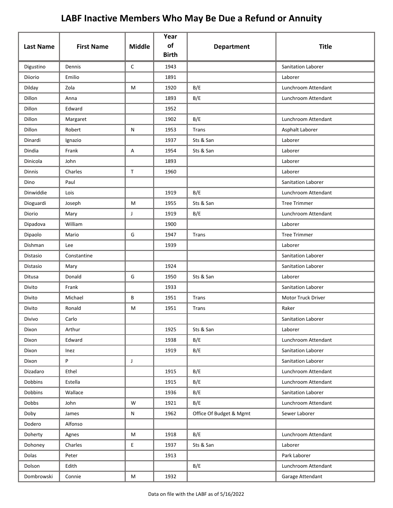| <b>Last Name</b> | <b>First Name</b> | <b>Middle</b> | Year<br>of<br><b>Birth</b> | <b>Department</b>       | <b>Title</b>        |
|------------------|-------------------|---------------|----------------------------|-------------------------|---------------------|
| Digustino        | Dennis            | $\mathsf C$   | 1943                       |                         | Sanitation Laborer  |
| Diiorio          | Emilio            |               | 1891                       |                         | Laborer             |
| Dilday           | Zola              | M             | 1920                       | B/E                     | Lunchroom Attendant |
| Dillon           | Anna              |               | 1893                       | B/E                     | Lunchroom Attendant |
| Dillon           | Edward            |               | 1952                       |                         |                     |
| Dillon           | Margaret          |               | 1902                       | B/E                     | Lunchroom Attendant |
| Dillon           | Robert            | N             | 1953                       | Trans                   | Asphalt Laborer     |
| Dinardi          | Ignazio           |               | 1937                       | Sts & San               | Laborer             |
| Dindia           | Frank             | Α             | 1954                       | Sts & San               | Laborer             |
| Dinicola         | John              |               | 1893                       |                         | Laborer             |
| <b>Dinnis</b>    | Charles           | $\mathsf{T}$  | 1960                       |                         | Laborer             |
| Dino             | Paul              |               |                            |                         | Sanitation Laborer  |
| Dinwiddie        | Lois              |               | 1919                       | B/E                     | Lunchroom Attendant |
| Dioguardi        | Joseph            | M             | 1955                       | Sts & San               | <b>Tree Trimmer</b> |
| Diorio           | Mary              | J             | 1919                       | B/E                     | Lunchroom Attendant |
| Dipadova         | William           |               | 1900                       |                         | Laborer             |
| Dipaolo          | Mario             | G             | 1947                       | Trans                   | <b>Tree Trimmer</b> |
| Dishman          | Lee               |               | 1939                       |                         | Laborer             |
| Distasio         | Constantine       |               |                            |                         | Sanitation Laborer  |
| Distasio         | Mary              |               | 1924                       |                         | Sanitation Laborer  |
| Ditusa           | Donald            | G             | 1950                       | Sts & San               | Laborer             |
| Divito           | Frank             |               | 1933                       |                         | Sanitation Laborer  |
| Divito           | Michael           | В             | 1951                       | Trans                   | Motor Truck Driver  |
| Divito           | Ronald            | М             | 1951                       | Trans                   | Raker               |
| Divivo           | Carlo             |               |                            |                         | Sanitation Laborer  |
| Dixon            | Arthur            |               | 1925                       | Sts & San               | Laborer             |
| Dixon            | Edward            |               | 1938                       | B/E                     | Lunchroom Attendant |
| Dixon            | Inez              |               | 1919                       | B/E                     | Sanitation Laborer  |
| Dixon            | P                 | J             |                            |                         | Sanitation Laborer  |
| Dizadaro         | Ethel             |               | 1915                       | B/E                     | Lunchroom Attendant |
| Dobbins          | Estella           |               | 1915                       | B/E                     | Lunchroom Attendant |
| <b>Dobbins</b>   | Wallace           |               | 1936                       | B/E                     | Sanitation Laborer  |
| Dobbs            | John              | W             | 1921                       | B/E                     | Lunchroom Attendant |
| Doby             | James             | N             | 1962                       | Office Of Budget & Mgmt | Sewer Laborer       |
| Dodero           | Alfonso           |               |                            |                         |                     |
| Doherty          | Agnes             | M             | 1918                       | B/E                     | Lunchroom Attendant |
| Dohoney          | Charles           | E             | 1937                       | Sts & San               | Laborer             |
| Dolas            | Peter             |               | 1913                       |                         | Park Laborer        |
| Dolson           | Edith             |               |                            | B/E                     | Lunchroom Attendant |
| Dombrowski       | Connie            | M             | 1932                       |                         | Garage Attendant    |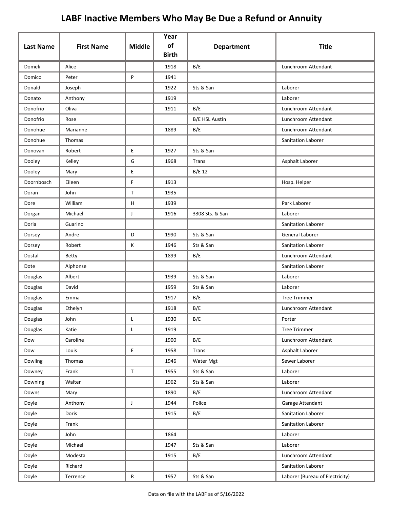| <b>Last Name</b> | <b>First Name</b> | <b>Middle</b> | Year<br>of<br><b>Birth</b> | <b>Department</b>     | <b>Title</b>                    |
|------------------|-------------------|---------------|----------------------------|-----------------------|---------------------------------|
| <b>Domek</b>     | Alice             |               | 1918                       | B/E                   | Lunchroom Attendant             |
| Domico           | Peter             | P             | 1941                       |                       |                                 |
| Donald           | Joseph            |               | 1922                       | Sts & San             | Laborer                         |
| Donato           | Anthony           |               | 1919                       |                       | Laborer                         |
| Donofrio         | Oliva             |               | 1911                       | B/E                   | Lunchroom Attendant             |
| Donofrio         | Rose              |               |                            | <b>B/E HSL Austin</b> | Lunchroom Attendant             |
| Donohue          | Marianne          |               | 1889                       | B/E                   | Lunchroom Attendant             |
| Donohue          | Thomas            |               |                            |                       | Sanitation Laborer              |
| Donovan          | Robert            | E             | 1927                       | Sts & San             |                                 |
| Dooley           | Kelley            | G             | 1968                       | <b>Trans</b>          | Asphalt Laborer                 |
| Dooley           | Mary              | E             |                            | B/E 12                |                                 |
| Doornbosch       | Eileen            | F             | 1913                       |                       | Hosp. Helper                    |
| Doran            | John              | $\mathsf T$   | 1935                       |                       |                                 |
| Dore             | William           | H             | 1939                       |                       | Park Laborer                    |
| Dorgan           | Michael           | J             | 1916                       | 3308 Sts. & San       | Laborer                         |
| Doria            | Guarino           |               |                            |                       | Sanitation Laborer              |
| Dorsey           | Andre             | D             | 1990                       | Sts & San             | General Laborer                 |
| Dorsey           | Robert            | Κ             | 1946                       | Sts & San             | Sanitation Laborer              |
| Dostal           | <b>Betty</b>      |               | 1899                       | B/E                   | Lunchroom Attendant             |
| Dote             | Alphonse          |               |                            |                       | Sanitation Laborer              |
| Douglas          | Albert            |               | 1939                       | Sts & San             | Laborer                         |
| Douglas          | David             |               | 1959                       | Sts & San             | Laborer                         |
| Douglas          | Emma              |               | 1917                       | B/E                   | <b>Tree Trimmer</b>             |
| Douglas          | Ethelyn           |               | 1918                       | B/E                   | Lunchroom Attendant             |
| Douglas          | John              | L             | 1930                       | B/E                   | Porter                          |
| Douglas          | Katie             | L             | 1919                       |                       | <b>Tree Trimmer</b>             |
| Dow              | Caroline          |               | 1900                       | B/E                   | Lunchroom Attendant             |
| Dow              | Louis             | E             | 1958                       | <b>Trans</b>          | Asphalt Laborer                 |
| Dowling          | Thomas            |               | 1946                       | Water Mgt             | Sewer Laborer                   |
| Downey           | Frank             | $\mathsf T$   | 1955                       | Sts & San             | Laborer                         |
| Downing          | Walter            |               | 1962                       | Sts & San             | Laborer                         |
| Downs            | Mary              |               | 1890                       | B/E                   | Lunchroom Attendant             |
| Doyle            | Anthony           | J             | 1944                       | Police                | Garage Attendant                |
| Doyle            | Doris             |               | 1915                       | B/E                   | Sanitation Laborer              |
| Doyle            | Frank             |               |                            |                       | Sanitation Laborer              |
| Doyle            | John              |               | 1864                       |                       | Laborer                         |
| Doyle            | Michael           |               | 1947                       | Sts & San             | Laborer                         |
| Doyle            | Modesta           |               | 1915                       | B/E                   | Lunchroom Attendant             |
| Doyle            | Richard           |               |                            |                       | Sanitation Laborer              |
| Doyle            | Terrence          | ${\sf R}$     | 1957                       | Sts & San             | Laborer (Bureau of Electricity) |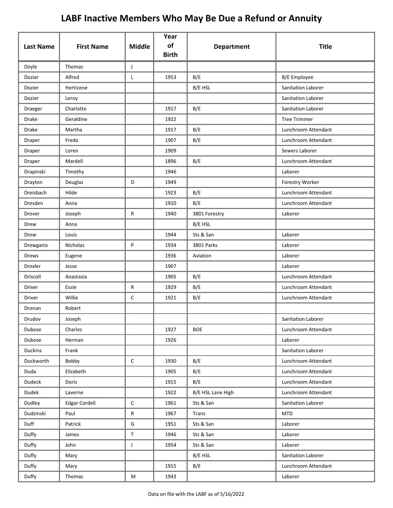| <b>Last Name</b> | <b>First Name</b>    | <b>Middle</b> | Year<br>of   | <b>Department</b> | <b>Title</b>              |
|------------------|----------------------|---------------|--------------|-------------------|---------------------------|
|                  |                      |               | <b>Birth</b> |                   |                           |
| Doyle            | Thomas               | J             |              |                   |                           |
| Dozier           | Alfred               | Г             | 1953         | B/E               | <b>B/E</b> Employee       |
| Dozier           | Herticene            |               |              | B/E HSL           | Sanitation Laborer        |
| Dozier           | Leroy                |               |              |                   | Sanitation Laborer        |
| Draeger          | Charlotte            |               | 1917         | B/E               | <b>Sanitation Laborer</b> |
| Drake            | Geraldine            |               | 1922         |                   | <b>Tree Trimmer</b>       |
| Drake            | Martha               |               | 1917         | B/E               | Lunchroom Attendant       |
| Draper           | Freda                |               | 1907         | B/E               | Lunchroom Attendant       |
| Draper           | Loren                |               | 1909         |                   | Sewers Laborer            |
| Draper           | Mardell              |               | 1896         | B/E               | Lunchroom Attendant       |
| Drapinski        | Timothy              |               | 1946         |                   | Laborer                   |
| Drayton          | Douglas              | D             | 1949         |                   | Forestry Worker           |
| Dreisbach        | Hilde                |               | 1923         | B/E               | Lunchroom Attendant       |
| Dresden          | Anna                 |               | 1910         | B/E               | Lunchroom Attendant       |
| Drever           | Joseph               | R             | 1940         | 3801 Forestry     | Laborer                   |
| Drew             | Anna                 |               |              | B/E HSL           |                           |
| Drew             | Louis                |               | 1944         | Sts & San         | Laborer                   |
| Drewganis        | Nicholas             | P             | 1934         | 3801 Parks        | Laborer                   |
| Drews            | Eugene               |               | 1936         | Aviation          | Laborer                   |
| Drexler          | Jesse                |               | 1907         |                   | Laborer                   |
| Driscoll         | Anastasia            |               | 1905         | B/E               | Lunchroom Attendant       |
| Driver           | Essie                | R             | 1929         | B/E               | Lunchroom Attendant       |
| Driver           | Willie               | С             | 1921         | B/E               | Lunchroom Attendant       |
| Dronan           | Robert               |               |              |                   |                           |
| Drudov           | Joseph               |               |              |                   | Sanitation Laborer        |
| Dubose           | Charles              |               | 1927         | <b>BOE</b>        | Lunchroom Attendant       |
| Dubose           | Herman               |               | 1926         |                   | Laborer                   |
| Duckins          | Frank                |               |              |                   | Sanitation Laborer        |
| Duckworth        | Bobby                | C             | 1930         | B/E               | Lunchroom Attendant       |
| Duda             | Elizabeth            |               | 1905         | B/E               | Lunchroom Attendant       |
| Dudeck           | Doris                |               | 1915         | B/E               | Lunchroom Attendant       |
| Dudek            | Laverne              |               | 1922         | B/E HSL Lane High | Lunchroom Attendant       |
| Dudley           | <b>Edgar Cordell</b> | С             | 1961         | Sts & San         | Sanitation Laborer        |
| Dudzinski        | Paul                 | R             | 1967         | Trans             | <b>MTD</b>                |
| Duff             | Patrick              | G             | 1951         | Sts & San         | Laborer                   |
| Duffy            | James                | $\mathsf T$   | 1946         | Sts & San         | Laborer                   |
| Duffy            | John                 | J             | 1954         | Sts & San         | Laborer                   |
| Duffy            | Mary                 |               |              | B/E HSL           | Sanitation Laborer        |
| Duffy            | Mary                 |               | 1915         | B/E               | Lunchroom Attendant       |
| Duffy            | Thomas               | M             | 1943         |                   | Laborer                   |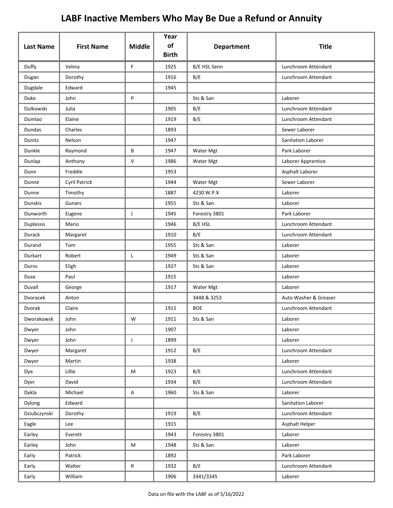| <b>Last Name</b> | <b>First Name</b>    | <b>Middle</b> | Year<br>of<br><b>Birth</b> | <b>Department</b> | <b>Title</b>          |
|------------------|----------------------|---------------|----------------------------|-------------------|-----------------------|
| Duffy            | Velma                | F             | 1925                       | B/E HSL Senn      | Lunchroom Attendant   |
| Dugan            | Dorothy              |               | 1916                       | B/E               | Lunchroom Attendant   |
| Dugdale          | Edward               |               | 1945                       |                   |                       |
| Duke             | John                 | P             |                            | Sts & San         | Laborer               |
| Dulkowski        | Julia                |               | 1905                       | B/E               | Lunchroom Attendant   |
| Dumlao           | Elaine               |               | 1919                       | B/E               | Lunchroom Attendant   |
| Dundas           | Charles              |               | 1893                       |                   | Sewer Laborer         |
| Dunitz           | Nelson               |               | 1947                       |                   | Sanitation Laborer    |
| Dunkle           | Raymond              | В             | 1947                       | Water Mgt         | Park Laborer          |
| Dunlap           | Anthony              | $\mathsf{V}$  | 1986                       | Water Mgt         | Laborer Apprentice    |
| Dunn             | Freddie              |               | 1953                       |                   | Asphalt Laborer       |
| Dunne            | <b>Cyril Patrick</b> |               | 1944                       | Water Mgt         | Sewer Laborer         |
| Dunne            | Timothy              |               | 1887                       | 4230 W.P.X        | Laborer               |
| Dunskis          | Gunars               |               | 1955                       | Sts & San         | Laborer               |
| Dunworth         | Eugene               | J             | 1945                       | Forestry 3801     | Park Laborer          |
| Duplessis        | Mario                |               | 1946                       | B/E HSL           | Lunchroom Attendant   |
| Durack           | Margaret             |               | 1910                       | B/E               | Lunchroom Attendant   |
| Durand           | Tom                  |               | 1955                       | Sts & San         | Laborer               |
| Durkart          | Robert               | L             | 1949                       | Sts & San         | Laborer               |
| Durns            | Eligh                |               | 1927                       | Sts & San         | Laborer               |
| Duse             | Paul                 |               | 1915                       |                   | Laborer               |
| Duvall           | George               |               | 1917                       | Water Mgt         | Laborer               |
| Dvoracek         | Anton                |               |                            | 3448 & 3253       | Auto Washer & Greaser |
| Dvorak           | Claire               |               | 1915                       | <b>BOE</b>        | Lunchroom Attendant   |
| Dworakowsk       | John                 | W             | 1911                       | Sts & San         | Laborer               |
| Dwyer            | John                 |               | 1907                       |                   | Laborer               |
| Dwyer            | John                 | J             | 1899                       |                   | Laborer               |
| Dwyer            | Margaret             |               | 1912                       | B/E               | Lunchroom Attendant   |
| Dwyer            | Martin               |               | 1938                       |                   | Laborer               |
| Dye              | Lillie               | M             | 1923                       | B/E               | Lunchroom Attendant   |
| Dyer             | David                |               | 1934                       | B/E               | Lunchroom Attendant   |
| Dykla            | Michael              | A             | 1960                       | Sts & San         | Laborer               |
| Dylong           | Edward               |               |                            |                   | Sanitation Laborer    |
| Dziubczynski     | Dorothy              |               | 1919                       | B/E               | Lunchroom Attendant   |
| Eagle            | Lee                  |               | 1915                       |                   | Asphalt Helper        |
| Earley           | Everett              |               | 1943                       | Forestry 3801     | Laborer               |
| Earley           | John                 | M             | 1948                       | Sts & San         | Laborer               |
| Early            | Patrick              |               | 1892                       |                   | Park Laborer          |
| Early            | Walter               | R             | 1932                       | B/E               | Lunchroom Attendant   |
| Early            | William              |               | 1906                       | 3341/3345         | Laborer               |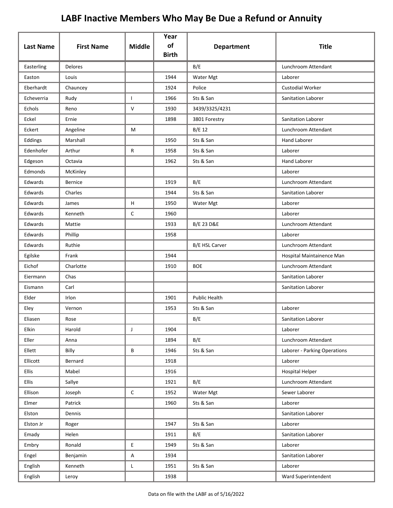| <b>Last Name</b> | <b>First Name</b> | <b>Middle</b> | Year<br>of   | <b>Department</b>     | <b>Title</b>                 |
|------------------|-------------------|---------------|--------------|-----------------------|------------------------------|
|                  |                   |               | <b>Birth</b> |                       |                              |
| Easterling       | Delores           |               |              | B/E                   | Lunchroom Attendant          |
| Easton           | Louis             |               | 1944         | Water Mgt             | Laborer                      |
| Eberhardt        | Chauncey          |               | 1924         | Police                | <b>Custodial Worker</b>      |
| Echeverria       | Rudy              | $\mathbf{I}$  | 1966         | Sts & San             | Sanitation Laborer           |
| Echols           | Reno              | V             | 1930         | 3439/3325/4231        |                              |
| Eckel            | Ernie             |               | 1898         | 3801 Forestry         | Sanitation Laborer           |
| Eckert           | Angeline          | М             |              | B/E 12                | Lunchroom Attendant          |
| Eddings          | Marshall          |               | 1950         | Sts & San             | <b>Hand Laborer</b>          |
| Edenhofer        | Arthur            | R             | 1958         | Sts & San             | Laborer                      |
| Edgeson          | Octavia           |               | 1962         | Sts & San             | <b>Hand Laborer</b>          |
| Edmonds          | McKinley          |               |              |                       | Laborer                      |
| Edwards          | <b>Bernice</b>    |               | 1919         | B/E                   | Lunchroom Attendant          |
| Edwards          | Charles           |               | 1944         | Sts & San             | Sanitation Laborer           |
| Edwards          | James             | Н             | 1950         | Water Mgt             | Laborer                      |
| Edwards          | Kenneth           | $\mathsf{C}$  | 1960         |                       | Laborer                      |
| Edwards          | Mattie            |               | 1933         | <b>B/E 23 D&amp;E</b> | Lunchroom Attendant          |
| Edwards          | Phillip           |               | 1958         |                       | Laborer                      |
| Edwards          | Ruthie            |               |              | B/E HSL Carver        | Lunchroom Attendant          |
| Egilske          | Frank             |               | 1944         |                       | Hospital Maintainence Man    |
| Eichof           | Charlotte         |               | 1910         | <b>BOE</b>            | Lunchroom Attendant          |
| Eiermann         | Chas              |               |              |                       | Sanitation Laborer           |
| Eismann          | Carl              |               |              |                       | Sanitation Laborer           |
| Elder            | Irlon             |               | 1901         | <b>Public Health</b>  |                              |
| Eley             | Vernon            |               | 1953         | Sts & San             | Laborer                      |
| Eliasen          | Rose              |               |              | B/E                   | Sanitation Laborer           |
| Elkin            | Harold            | J             | 1904         |                       | Laborer                      |
| Eller            | Anna              |               | 1894         | B/E                   | Lunchroom Attendant          |
| Ellett           | Billy             | B             | 1946         | Sts & San             | Laborer - Parking Operations |
| Ellicott         | Bernard           |               | 1918         |                       | Laborer                      |
| Ellis            | Mabel             |               | 1916         |                       | <b>Hospital Helper</b>       |
| Ellis            | Sallye            |               | 1921         | B/E                   | Lunchroom Attendant          |
| Ellison          | Joseph            | $\mathsf C$   | 1952         | Water Mgt             | Sewer Laborer                |
| Elmer            | Patrick           |               | 1960         | Sts & San             | Laborer                      |
| Elston           | Dennis            |               |              |                       | Sanitation Laborer           |
| Elston Jr        | Roger             |               | 1947         | Sts & San             | Laborer                      |
| Emady            | Helen             |               | 1911         | B/E                   | Sanitation Laborer           |
| Embry            | Ronald            | E             | 1949         | Sts & San             | Laborer                      |
| Engel            | Benjamin          | $\sf A$       | 1934         |                       | Sanitation Laborer           |
| English          | Kenneth           | L             | 1951         | Sts & San             | Laborer                      |
| English          | Leroy             |               | 1938         |                       | Ward Superintendent          |